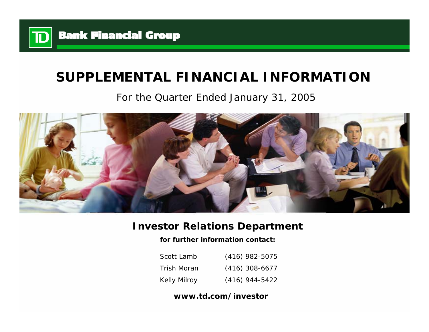

# **SUPPLEMENTAL FINANCIAL INFORMATION**

## For the Quarter Ended January 31, 2005



## **Investor Relations Department**

**for further information contact:**

| Scott Lamb          | $(416)$ 982-5075 |
|---------------------|------------------|
| Trish Moran         | $(416)$ 308-6677 |
| <b>Kelly Milroy</b> | $(416)$ 944-5422 |

## **www.td.com/investor**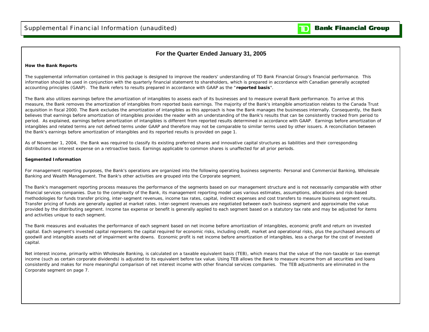$\mathbf{D}% _{T}=\mathbf{D}_{T}\!\left( \mathbf{I}_{T}% \mathbf{M}_{T}\right) ^{-1}\!\left( \mathbf{I}_{T}% \mathbf{M}_{T}\right) ^{-1}\!\left( \mathbf{I}_{T}\mathbf{M}_{T}\right) ^{-1}\!\left( \mathbf{I}_{T}\mathbf{M}_{T}\right) ^{-1}\!\left( \mathbf{I}_{T}\mathbf{M}_{T}\right) ^{-1}\!\left( \mathbf{I}_{T}\mathbf{M}_{T}\right) ^{-1}\!\left( \mathbf{I}_{T}\mathbf{M}_{T}\right) ^{-1}\!\left( \mathbf{I}_{T}\mathbf{M}_{T}\right) ^{-1}\!\left( \mathbf{I$ 

#### **For the Quarter Ended January 31, 2005**

#### **How the Bank Reports**

The supplemental information contained in this package is designed to improve the readers' understanding of TD Bank Financial Group's financial performance. This information should be used in conjunction with the quarterly financial statement to shareholders, which is prepared in accordance with Canadian generally accepted accounting principles (GAAP). The Bank refers to results prepared in accordance with GAAP as the "**reported basis**".

The Bank also utilizes earnings before the amortization of intangibles to assess each of its businesses and to measure overall Bank performance. To arrive at this measure, the Bank removes the amortization of intangibles from reported basis earnings. The majority of the Bank's intangible amortization relates to the Canada Trust acquisition in fiscal 2000. The Bank excludes the amortization of intangibles as this approach is how the Bank manages the businesses internally. Consequently, the Bank believes that earnings before amortization of intangibles provides the reader with an understanding of the Bank's results that can be consistently tracked from period to period. As explained, earnings before amortization of intangibles is different from reported results determined in accordance with GAAP. Earnings before amortization of intangibles and related terms are not defined terms under GAAP and therefore may not be comparable to similar terms used by other issuers. A reconciliation between the Bank's earnings before amortization of intangibles and its reported results is provided on page 1.

As of November 1, 2004, the Bank was required to classify its existing preferred shares and innovative capital structures as liabilities and their corresponding distributions as interest expense on a retroactive basis. Earnings applicable to common shares is unaffected for all prior periods.

#### **Segmented Information**

For management reporting purposes, the Bank's operations are organized into the following operating business segments: Personal and Commercial Banking, Wholesale Banking and Wealth Management. The Bank's other activities are grouped into the Corporate segment.

The Bank's management reporting process measures the performance of the segments based on our management structure and is not necessarily comparable with other financial services companies. Due to the complexity of the Bank, its management reporting model uses various estimates, assumptions, allocations and risk-based methodologies for funds transfer pricing, inter-segment revenues, income tax rates, capital, indirect expenses and cost transfers to measure business segment results. Transfer pricing of funds are generally applied at market rates. Inter-segment revenues are negotiated between each business segment and approximate the value provided by the distributing segment. Income tax expense or benefit is generally applied to each segment based on a statutory tax rate and may be adjusted for items and activities unique to each segment.

The Bank measures and evaluates the performance of each segment based on net income before amortization of intangibles, economic profit and return on invested capital. Each segment's invested capital represents the capital required for economic risks, including credit, market and operational risks, plus the purchased amounts of goodwill and intangible assets net of impairment write downs. Economic profit is net income before amortization of intangibles, less a charge for the cost of invested capital.

Net interest income, primarily within Wholesale Banking, is calculated on a taxable equivalent basis (TEB), which means that the value of the non-taxable or tax-exempt income (such as certain corporate dividends) is adjusted to its equivalent before tax value. Using TEB allows the Bank to measure income from all securities and loans consistently and makes for more meaningful comparison of net interest income with other financial services companies. The TEB adjustments are eliminated in the Corporate segment on page 7.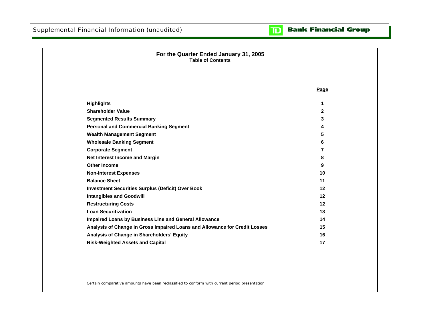

| For the Quarter Ended January 31, 2005<br><b>Table of Contents</b>         |              |
|----------------------------------------------------------------------------|--------------|
|                                                                            | Page         |
| <b>Highlights</b>                                                          | 1            |
| <b>Shareholder Value</b>                                                   | $\mathbf{2}$ |
| <b>Segmented Results Summary</b>                                           | 3            |
| <b>Personal and Commercial Banking Segment</b>                             | 4            |
| <b>Wealth Management Segment</b>                                           | 5            |
| <b>Wholesale Banking Segment</b>                                           | 6            |
| <b>Corporate Segment</b>                                                   | 7            |
| Net Interest Income and Margin                                             | 8            |
| <b>Other Income</b>                                                        | 9            |
| <b>Non-Interest Expenses</b>                                               | 10           |
| <b>Balance Sheet</b>                                                       | 11           |
| <b>Investment Securities Surplus (Deficit) Over Book</b>                   | 12           |
| <b>Intangibles and Goodwill</b>                                            | 12           |
| <b>Restructuring Costs</b>                                                 | 12           |
| <b>Loan Securitization</b>                                                 | 13           |
| Impaired Loans by Business Line and General Allowance                      | 14           |
| Analysis of Change in Gross Impaired Loans and Allowance for Credit Losses | 15           |
| Analysis of Change in Shareholders' Equity                                 | 16           |
| <b>Risk-Weighted Assets and Capital</b>                                    | 17           |

Certain comparative amounts have been reclassified to conform with current period presentation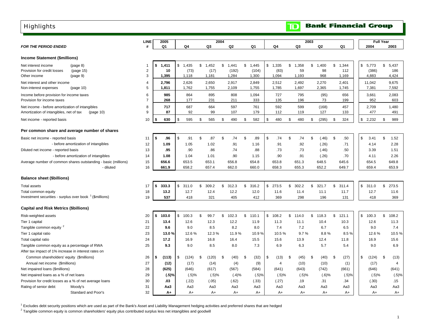### **Highlights**

**Balance sheet (\$billions)**

Total assets 17

<span id="page-3-0"></span>

| <b>Highlights</b>                                              |                |             |       |                 |                |             |             | $\mathbf{D}% _{T}=\mathbf{D}_{T}\times\mathbf{D}_{T}$ |                |           | <b>Bank Financial Group</b> |                  |
|----------------------------------------------------------------|----------------|-------------|-------|-----------------|----------------|-------------|-------------|-------------------------------------------------------|----------------|-----------|-----------------------------|------------------|
|                                                                | <b>LINE</b>    | 2005        |       |                 | 2004           |             |             |                                                       | 2003           |           |                             | <b>Full Year</b> |
| <b>FOR THE PERIOD ENDED</b>                                    |                | Q1          | Q4    | Q3              | Q <sub>2</sub> | Q1          | Q4          | Q3                                                    | Q <sub>2</sub> | Q1        | 2004                        | 2003             |
| <b>Income Statement (\$millions)</b>                           |                |             |       |                 |                |             |             |                                                       |                |           |                             |                  |
| Net interest income<br>(page 8)                                |                | 1,411<br>\$ | 1,435 | \$<br>,452<br>1 | \$<br>.441     | 1.445<br>\$ | \$<br>1,335 | ,358<br>\$                                            | \$.<br>,400    | 1,344     | \$<br>5,773                 | \$<br>5,437      |
| Provision for credit losses<br>(page 15)                       | 2              | 10          | (73)  | (17)            | (192)          | (104)       | (83)        | 59                                                    | 98             | 112       | (386)                       | 186              |
| (page 9)<br>Other income                                       | 3              | 1,395       | 1,118 | 1,181           | 1,284          | 1,300       | 1,094       | 1,193                                                 | 968            | 1,169     | 4,883                       | 4,424            |
| Net interest and other income                                  | $\overline{4}$ | 2,796       | 2,626 | 2,650           | 2,917          | 2.849       | 2,512       | 2,492                                                 | 2,270          | 2,401     | 11,042                      | 9,675            |
| (page 10)<br>Non-interest expenses                             | 5              | 1,811       | 1,762 | 1,755           | 2,109          | 1,755       | 1,785       | 1,697                                                 | 2,365          | 1,745     | 7,381                       | 7,592            |
| Income before provision for income taxes                       | 6              | 985         | 864   | 895             | 808            | 1,094       | 727         | 795                                                   | (95)           | 656       | 3,661                       | 2,083            |
| Provision for income taxes                                     |                | 268         | 177   | 231             | 211            | 333         | 135         | 196                                                   | 73             | 199       | 952                         | 603              |
| Net income - before amortization of intangibles                | 8              | 717         | 687   | 664             | 597            | 761         | 592         | 599                                                   | (168)          | 457       | 2,709                       | 1,480            |
| Amortization of intangibles, net of tax<br>(page 10)           | 9              | 87          | 92    | 99              | 107            | 179         | 112         | 119                                                   | 127            | 133       | 477                         | 491              |
| Net income - reported basis                                    | 10             | 630<br>\$   | 595   | 565<br>-96      | 490<br>S       | 582<br>\$   | 480<br>\$   | 480<br>S.                                             | (295)          | 324<br>S. | \$<br>2,232                 | 989<br>\$        |
| Per common share and average number of shares                  |                |             |       |                 |                |             |             |                                                       |                |           |                             |                  |
| Basic net income - reported basis                              | 11             | \$<br>.96   | .91   | \$.<br>.87      | \$<br>.74      | .89<br>S.   | \$<br>.74   | .74<br>\$.                                            | (.46)<br>\$    | .50<br>\$ | \$<br>3.41                  | \$<br>1.52       |
| - before amortization of intangibles                           | 12             | 1.09        | 1.05  | 1.02            | .91            | 1.16        | .91         | .92                                                   | (.26)          | .71       | 4.14                        | 2.28             |
| Diluted net income - reported basis                            | 13             | .95         | .90   | .86             | .74            | .88         | .73         | .73                                                   | (.46)          | .50       | 3.39                        | 1.51             |
| - before amortization of intangibles                           | 14             | 1.08        | 1.04  | 1.01            | .90            | 1.15        | .90         | .91                                                   | (.26)          | .70       | 4.11                        | 2.26             |
| Average number of common shares outstanding - basic (millions) | 15             | 656.6       | 653.5 | 653.1           | 656.8          | 654.8       | 653.8       | 651.3                                                 | 648.5          | 645.6     | 654.5                       | 649.8            |
| - diluted                                                      | 16             | 661.9       | 658.2 | 657.4           | 662.0          | 660.0       | 658.3       | 655.3                                                 | 652.2          | 649.7     | 659.4                       | 653.9            |

| Total assets                                                        |    | 333.3 | 311.0 | 309.2 | 312.3 | 316.2 | 273.5 | 302.2 | 321.7 | 311.4 | 311.0 | 273.5 |
|---------------------------------------------------------------------|----|-------|-------|-------|-------|-------|-------|-------|-------|-------|-------|-------|
| Total common equity                                                 |    | 13.2  | 12.7  | 12.4  | 12.2  | 12.0  | 11.6  |       |       | 11.7  |       | 11.6  |
| Investment securities - surplus over book <sup>1</sup> (\$millions) | 10 | 537   | 418   | 321   | 405   | 412   | 369   | 298   | 196   | 131   | 418   | 369   |
|                                                                     |    |       |       |       |       |       |       |       |       |       |       |       |

#### **Capital and Risk Metrics (\$billions)**

| Risk-weighted assets                                 |                                                         | 20 | 103.0  |     | 100.3 | 99.7  |   | 102.3 | 110.1 | S. | 108.2 | 14.0      |   | 18.3      | \$<br>121.1 | \$   | 100.3 | 108.2      |
|------------------------------------------------------|---------------------------------------------------------|----|--------|-----|-------|-------|---|-------|-------|----|-------|-----------|---|-----------|-------------|------|-------|------------|
| Tier 1 capital                                       |                                                         | 21 | 13.4   |     | 12.6  | 12.3  |   | 12.2  | 11.9  |    | 11.3  | 11.1      |   | 10.4      | 10.3        |      | 12.6  | 11.3       |
| Tangible common equity 2                             |                                                         | 22 | 9.6    |     | 9.0   | 8.5   |   | 8.2   | 8.0   |    | 7.4   | 7.2       |   | 6.7       | 6.5         |      | 9.0   | 7.4        |
| Tier 1 capital ratio                                 |                                                         | 23 | 13.0 % |     | 12.6% | 12.3% |   | 11.9% | 10.9% |    | 10.5% | 9.7%      |   | 8.8%      | 8.5%        |      | 12.6% | 10.5%      |
| Total capital ratio                                  |                                                         | 24 | 17.2   |     | 16.9  | 16.8  |   | 16.4  | 15.5  |    | 15.6  | 13.9      |   | 12.4      | 11.8        |      | 16.9  | 15.6       |
| Tangible common equity as a percentage of RWA        |                                                         | 25 | 9.3    |     | 9.0   | 8.5   |   | 8.0   | 7.3   |    | 6.9   | 6.3       |   | 5.7       | 5.4         |      | 9.0   | 6.9        |
| After tax impact of 1% increase in interest rates on |                                                         |    |        |     |       |       |   |       |       |    |       |           |   |           |             |      |       |            |
| Common shareholders' equity (\$millions)             |                                                         | 26 | (113)  | l 3 | (124) | (120) | £ | (40)  | (32)  | \$ | (13)  | (45)      | S | (40)      | \$<br>(27)  | - 35 | (124) | \$<br>(13) |
| Annual net income (\$millions)                       |                                                         | 27 | (12)   |     | (17)  | (14)  |   | (4)   | (9)   |    | 4     | (10)      |   | (10)      | (1)         |      | (17)  | 4          |
| Net impaired loans (\$millions)                      |                                                         | 28 | (625)  |     | (646) | (617) |   | (567) | (584) |    | (641) | (643)     |   | (742)     | (661)       |      | (646) | (641)      |
| Net impaired loans as a % of net loans               |                                                         | 29 | (.5)%  |     | (.5)% | (.5)% |   | (.4)% | (.5)% |    | (.5)% | $(.5) \%$ |   | $(0.6)$ % | (.5)%       |      | (.5)% | (.5)%      |
|                                                      | Provision for credit losses as a % of net average loans | 30 | .03    |     | (.22) | (.05) |   | (.62) | (.33) |    | (.27) | .19       |   | .31       | .34         |      | (.30) | .15        |
| Rating of senior debt:                               | Moody's                                                 | 31 | Aa3    |     | Aa3   | Aa3   |   | Aa3   | Aa3   |    | Aa3   | Aa3       |   | Aa3       | Aa3         |      | Aa3   | Aa3        |
|                                                      | Standard and Poor's                                     | 32 | A+     |     | $A+$  | A+    |   | $A+$  | $A+$  |    | $A+$  | $A+$      |   | $A+$      | $A+$        |      | A+    | A+         |
|                                                      |                                                         |    |        |     |       |       |   |       |       |    |       |           |   |           |             |      |       |            |

<sup>1</sup> Excludes debt security positions which are used as part of the Bank's Asset and Liability Management hedging activities and preferred shares that are hedged

<sup>2</sup> Tangible common equity is common shareholders' equity plus contributed surplus less net intangibles and goodwill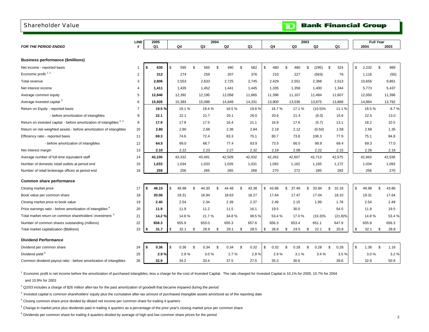#### <span id="page-4-0"></span>Shareholder Value

|                                                                                 | <b>LINE</b>    |    | 2005   |                |        |             | 2004           |        |             |             |                       | 2003           |                          |             |            | <b>Full Year</b> |             |
|---------------------------------------------------------------------------------|----------------|----|--------|----------------|--------|-------------|----------------|--------|-------------|-------------|-----------------------|----------------|--------------------------|-------------|------------|------------------|-------------|
| <b>FOR THE PERIOD ENDED</b>                                                     | #              |    | Q1     |                | Q4     | Q3          |                | Q2     | Q1          | Q4          | Q3                    |                | Q2                       | Q1          |            | 2004             | 2003        |
|                                                                                 |                |    |        |                |        |             |                |        |             |             |                       |                |                          |             |            |                  |             |
| <b>Business performance (\$millions)</b>                                        |                |    |        |                |        |             |                |        |             |             |                       |                |                          |             |            |                  |             |
| Net income - reported basis                                                     | $\mathbf{1}$   | Ŝ. | 630    | $\mathfrak{L}$ | 595    | \$<br>565   | $\mathfrak{s}$ | 490    | \$<br>582   | \$<br>480   | $\mathfrak{L}$<br>480 | $\mathfrak{L}$ | (295)                    | \$<br>324   |            | \$<br>2,232      | \$<br>989   |
| Economic profit <sup>1,2</sup>                                                  | $\overline{c}$ |    | 312    |                | 274    | 259         |                | 207    | 376         | 210         | 227                   |                | (563)                    | 76          |            | 1,116            | (50)        |
| Total revenue                                                                   | 3              |    | 2,806  |                | 2,553  | 2,633       |                | 2,725  | 2,745       | 2,429       | 2,551                 |                | 2,368                    | 2,513       |            | 10,656           | 9,861       |
| Net interest income                                                             | $\overline{4}$ |    | 1.411  |                | 1,435  | 1,452       |                | 1.441  | 1,445       | 1,335       | 1,358                 |                | 1,400                    | 1,344       |            | 5,773            | 5,437       |
| Average common equity                                                           | 5              |    | 12.846 |                | 12,392 | 12,195      |                | 12,058 | 11,665      | 11,396      | 11,107                |                | 11,484                   | 11,607      |            | 12,050           | 11,396      |
| Average invested capital 3                                                      | 6              |    | 15,926 |                | 15,383 | 15,089      |                | 14,849 | 14,331      | 13,900      | 13,536                |                | 13,875                   | 13,868      |            | 14,884           | 13,792      |
| Return on Equity - reported basis                                               | 7              |    | 19.5%  |                | 19.1%  | 18.4%       |                | 16.5%  | 19.8%       | 16.7%       | 17.1%                 |                | $(10.5)\%$               | 11.1 %      |            | 18.5%            | 8.7%        |
| - before amortization of intangibles                                            | 8              |    | 22.1   |                | 22.1   | 21.7        |                | 20.1   | 26.0        | 20.6        | 21.4                  |                | (6.0)                    | 15.6        |            | 22.5             | 13.0        |
| Return on invested capital - before amortization of intangibles <sup>2, 3</sup> | 9              |    | 17.9   |                | 17.8   | 17.5        |                | 16.4   | 21.1        | 16.9        | 17.6                  |                | (5.7)                    | 13.1        |            | 18.2             | 10.5        |
| Return on risk-weighted assets - before amortization of intangibles             | 10             |    | 2.80   |                | 2.80   | 2.68        |                | 2.36   | 2.84        | 2.19        | 2.12                  |                | (0.50)                   | 1.58        |            | 2.68             | 1.35        |
| Efficiency ratio - reported basis                                               | 11             |    | 69.3   |                | 74.6   | 72.4        |                | 83.3   | 70.1        | 80.7        | 73.8                  |                | 108.3                    | 77.9        |            | 75.1             | 84.8        |
| - before amortization of intangibles                                            | 12             |    | 64.5   |                | 69.0   | 66.7        |                | 77.4   | 63.9        | 73.5        | 66.5                  |                | 99.9                     | 69.4        |            | 69.3             | 77.0        |
| Net interest margin                                                             | 13             |    | 2.10   |                | 2.22   | 2.23        |                | 2.27   | 2.32        | 2.19        | 2.08                  |                | 2.22                     | 2.15        |            | 2.26             | 2.16        |
| Average number of full-time equivalent staff                                    | 14             |    | 43,100 |                | 43,332 | 43,491      |                | 42,509 | 42,032      | 42,263      | 42,607                |                | 42,713                   | 42,575      |            | 42,843           | 42,538      |
| Number of domestic retail outlets at period end                                 | 15             |    | 1.033  |                | 1,034  | 1,033       |                | 1,026  | 1,031       | 1,093       | 1,162                 |                | 1,165                    | 1,172       |            | 1,034            | 1,093       |
| Number of retail brokerage offices at period end                                | 16             |    | 259    |                | 256    | 265         |                | 265    | 268         | 270         | 272                   |                | 285                      | 283         |            | 256              | 270         |
|                                                                                 |                |    |        |                |        |             |                |        |             |             |                       |                |                          |             |            |                  |             |
| Common share performance                                                        |                |    |        |                |        |             |                |        |             |             |                       |                |                          |             |            |                  |             |
| Closing market price                                                            | 17             | \$ | 48.15  | \$             | 48.98  | \$<br>44.30 | \$             | 44.48  | \$<br>43.38 | \$<br>43.86 | \$<br>37.49           | \$             | 33.94                    | \$<br>32.18 | $\sqrt{3}$ | 48.98            | \$<br>43.86 |
| Book value per common share                                                     | 18             |    | 20.06  |                | 19.31  | 18.94       |                | 18.63  | 18.27       | 17.64       | 17.47                 |                | 17.04                    | 18.10       |            | 19.31            | 17.64       |
| Closing market price to book value                                              | 19             |    | 2.40   |                | 2.54   | 2.34        |                | 2.39   | 2.37        | 2.49        | 2.15                  |                | 1.99                     | 1.78        |            | 2.54             | 2.49        |
| Price earnings ratio - before amortization of intangibles <sup>4</sup>          | 20             |    | 11.9   |                | 11.9   | 11.2        |                | 11.5   | 16.1        | 19.5        | 30.0                  |                | $\overline{\phantom{a}}$ | 54.5        |            | 11.9             | 19.5        |
| Total market return on common shareholders' investment <sup>5</sup>             | 21             |    | 14.2%  |                | 14.8%  | 21.7%       |                | 34.8%  | 38.5%       | 53.4 %      | 17.0%                 |                | $(16.3)\%$               | (21.8)%     |            | 14.8%            | 53.4%       |
| Number of common shares outstanding (millions)                                  | 22             |    | 658.3  |                | 655.9  | 653.0       |                | 655.3  | 657.6       | 656.3       | 653.4                 |                | 651.1                    | 647.9       |            | 655.9            | 656.3       |
| Total market capitalization (\$billions)                                        | 23             | \$ | 31.7   | \$             | 32.1   | \$<br>28.9  | \$             | 29.1   | \$<br>28.5  | \$<br>28.8  | \$<br>24.5            | \$             | 22.1                     | \$<br>20.8  | $\sqrt{3}$ | 32.1             | \$<br>28.8  |
| <b>Dividend Performance</b>                                                     |                |    |        |                |        |             |                |        |             |             |                       |                |                          |             |            |                  |             |
| Dividend per common share                                                       | 24             | S. | 0.36   | \$             | 0.36   | \$<br>0.34  | - \$           | 0.34   | \$<br>0.32  | \$<br>0.32  | \$<br>0.28            | \$             | 0.28                     | \$<br>0.28  | $\sqrt{3}$ | 1.36             | \$<br>1.16  |
| Dividend yield <sup>6</sup>                                                     | 25             |    | 2.9%   |                | 2.9%   | 3.0%        |                | 2.7%   | 2.8%        | 2.9%        | 3.1%                  |                | 3.4%                     | 3.5%        |            | 3.0%             | 3.2%        |
| Common dividend payout ratio - before amortization of intangibles               | 26             |    | 32.9   |                | 34.2   | 33.4        |                | 37.5   | 27.5        | 35.3        | 30.6                  |                | $\blacksquare$           | 39.6        |            | 32.9             | 50.9        |

1 Economic profit is net income before the amortization of purchased intangibles, less a charge for the cost of Invested Capital. The rate charged for Invested Capital is 10.1% for 2005, 10.7% for 2004

and 10.9% for 2003

 $2$  Q2/03 includes a charge of \$26 million after-tax for the past amortization of goodwill that became impaired during the period

 $3$  Invested capital is common shareholders' equity plus the cumulative after-tax amount of purchased intangible assets amortized as of the reporting date

4 Closing common share price divided by diluted net income per common share for trailing 4 quarters

5 Change in market price plus dividends paid in trailing 4 quarters as a percentage of the prior year's closing market price per common share

#### **Bank Financial Group**  $\mathbf{D}$

<sup>&</sup>lt;sup>6</sup> Dividends per common share for trailing 4 quarters divided by average of high and low common share prices for the period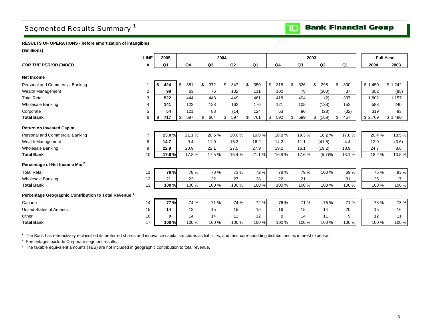## <span id="page-5-0"></span>Segmented Results Summary<sup>1</sup>

**Bank Financial Group** 

 $\blacksquare$ 

**RESULTS OF OPERATIONS - before amortization of intangibles**

**(\$millions)**

| ,,,,,,,,,,,,,,,,,,                                               |                |     |             |                |           |      |                |           |           |           |                          |           |                  |         |
|------------------------------------------------------------------|----------------|-----|-------------|----------------|-----------|------|----------------|-----------|-----------|-----------|--------------------------|-----------|------------------|---------|
|                                                                  | <b>LINE</b>    |     | 2005        |                |           | 2004 |                |           |           | 2003      |                          |           | <b>Full Year</b> |         |
| <b>FOR THE PERIOD ENDED</b>                                      | #              |     | Q1          | Q <sub>4</sub> | Q3        |      | Q <sub>2</sub> | Q1        | Q4        | Q3        | Q <sub>2</sub>           | Q1        | 2004             | 2003    |
| <b>Net Income</b>                                                |                |     |             |                |           |      |                |           |           |           |                          |           |                  |         |
| Personal and Commercial Banking                                  |                | \$. | 424         | \$<br>381      | \$<br>372 | \$   | 347            | \$<br>350 | \$<br>318 | \$<br>326 | \$<br>298                | \$<br>300 | \$1,450          | \$1,242 |
| Wealth Management                                                | $\overline{2}$ |     | 98          | 63             | 76        |      | 102            | 111       | 100       | 78        | (300)                    | 37        | 352              | (85)    |
| <b>Total Retail</b>                                              | 3              |     | 522         | 444            | 448       |      | 449            | 461       | 418       | 404       | (2)                      | 337       | 1,802            | 1,157   |
| <b>Wholesale Banking</b>                                         | 4              |     | 141         | 122            | 128       |      | 162            | 176       | 121       | 105       | (138)                    | 152       | 588              | 240     |
| Corporate                                                        | 5              |     | 54          | 121            | 88        |      | (14)           | 124       | 53        | 90        | (28)                     | (32)      | 319              | 83      |
| <b>Total Bank</b>                                                | 6              | -\$ | 717         | \$<br>687      | \$<br>664 | \$   | 597            | \$<br>761 | \$<br>592 | \$<br>599 | \$<br>(168)              | \$<br>457 | \$2,709          | \$1,480 |
| <b>Return on Invested Capital</b>                                |                |     |             |                |           |      |                |           |           |           |                          |           |                  |         |
| Personal and Commercial Banking                                  | $\overline{7}$ |     | 23.0%       | 21.1%          | 20.6%     |      | 20.0%          | 19.8%     | 18.8%     | 19.3%     | 18.2%                    | 17.8%     | 20.4%            | 18.5%   |
| Wealth Management                                                | 8              |     | 14.7        | 9.4            | 11.0      |      | 15.3           | 16.2      | 14.2      | 11.1      | (41.5)                   | 4.4       | 13.0             | (3.6)   |
| <b>Wholesale Banking</b>                                         | 9              |     | 22.9        | 20.9           | 22.1      |      | 27.5           | 27.9      | 19.2      | 16.1      | (19.2)                   | 18.9      | 24.7             | 8.6     |
| <b>Total Bank</b>                                                | 10             |     | 17.9%       | 17.8%          | 17.5%     |      | 16.4%          | 21.1%     | 16.9%     | 17.6%     | (5.7)%                   | 13.1 %    | 18.2%            | 10.5%   |
| Percentage of Net Income Mix <sup>2</sup>                        |                |     |             |                |           |      |                |           |           |           |                          |           |                  |         |
| <b>Total Retail</b>                                              | 11             |     | 79 %        | 78 %           | 78 %      |      | 73 %           | 72 %      | 78 %      | 79 %      | 100 %                    | 69%       | 75 %             | 83 %    |
| <b>Wholesale Banking</b>                                         | 12             |     | 21          | 22             | 22        |      | 27             | 28        | 22        | 21        | $\overline{\phantom{a}}$ | 31        | 25               | 17      |
| <b>Total Bank</b>                                                | 13             |     | 100 %       | 100 %          | 100 %     |      | 100 %          | 100 %     | 100 %     | 100 %     | 100 %                    | 100 %     | 100 %            | 100 %   |
| Percentage Geographic Contribution to Total Revenue <sup>3</sup> |                |     |             |                |           |      |                |           |           |           |                          |           |                  |         |
| Canada                                                           | 14             |     | <b>77 %</b> | 74 %           | 71 %      |      | 74 %           | 72 %      | 76 %      | 71 %      | 75 %                     | 71 %      | 73 %             | 73 %    |
| United States of America                                         | 15             |     | 14          | 12             | 15        |      | 15             | 16        | 16        | 15        | 14                       | 20        | 15               | 16      |
| Other                                                            | 16             |     | 9           | 14             | 14        |      | 11             | 12        | 8         | 14        | 11                       | 9         | 12               | 11      |
| <b>Total Bank</b>                                                | 17             |     | 100 %       | 100 %          | 100 %     |      | 100 %          | 100 %     | 100 %     | 100 %     | 100 %                    | 100 %     | 100 %            | 100 %   |

<sup>1</sup> The Bank has retroactively reclassified its preferred shares and innovative capital structures as liabilities, and their corresponding distributions as interest expense.

 $2$  Percentages exclude Corporate segment results.

 $3$  The taxable equivalent amounts (TEB) are not included in geographic contribution to total revenue.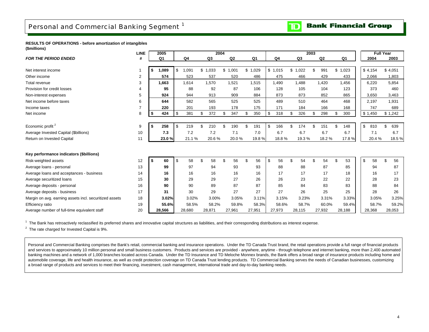**Bank Financial Group**  $\mathbf{D}$ 

#### <span id="page-6-0"></span>**RESULTS OF OPERATIONS - before amortization of intangibles (\$millions)**

|                                                        | <b>LINE</b>    | 2005        |            |        |     | 2004    |                |                |           | 2003        |                |             |    | <b>Full Year</b> |           |
|--------------------------------------------------------|----------------|-------------|------------|--------|-----|---------|----------------|----------------|-----------|-------------|----------------|-------------|----|------------------|-----------|
| <b>FOR THE PERIOD ENDED</b>                            | #              | Q1          |            | Q4     |     | Q3      | Q <sub>2</sub> | Q <sub>1</sub> | Q4        | Q3          | Q <sub>2</sub> | Q1          |    | 2004             | 2003      |
|                                                        |                |             |            |        |     |         |                |                |           |             |                |             |    |                  |           |
| Net interest income                                    |                | \$<br>1,089 | \$         | 1,091  |     | \$1,033 | \$<br>1,001    | \$<br>1,029    | \$1,015   | \$<br>1,022 | \$<br>991      | \$<br>1,023 |    | \$4,154          | \$4,051   |
| Other income                                           | $\overline{2}$ | 574         |            | 523    |     | 537     | 520            | 486            | 475       | 466         | 429            | 433         |    | 2,066            | 1,803     |
| Total revenue                                          | 3              | 1,663       |            | 1,614  |     | 1,570   | 1,521          | 1,515          | 1,490     | 1,488       | 1,420          | 1.456       |    | 6,220            | 5,854     |
| Provision for credit losses                            | 4              | 95          |            | 88     |     | 92      | 87             | 106            | 128       | 105         | 104            | 123         |    | 373              | 460       |
| Non-interest expenses                                  | 5              | 924         |            | 944    |     | 913     | 909            | 884            | 873       | 873         | 852            | 865         |    | 3,650            | 3,463     |
| Net income before taxes                                | 6              | 644         |            | 582    |     | 565     | 525            | 525            | 489       | 510         | 464            | 468         |    | 2.197            | 1,931     |
| Income taxes                                           |                | 220         |            | 201    |     | 193     | 178            | 175            | 171       | 184         | 166            | 168         |    | 747              | 689       |
| Net income                                             | 8              | \$<br>424   | $\sqrt{3}$ | 381    |     | 372     | \$<br>347      | \$<br>350      | \$<br>318 | \$<br>326   | 298            | \$<br>300   |    | \$1,450          | \$1,242   |
|                                                        |                |             |            |        |     |         |                |                |           |             |                |             |    |                  |           |
| Economic profit <sup>2</sup>                           | 9              | \$<br>258   | <b>S</b>   | 219    | £.  | 210     | \$<br>190      | \$<br>191      | \$<br>166 | \$<br>174   | \$<br>151      | \$<br>148   | \$ | 810              | 639<br>£. |
| Average Invested Capital (\$billions)                  | 10             | 7.3         |            | 7.2    |     | 7.2     | 7.1            | 7.0            | 6.7       | 6.7         | 6.7            | 6.7         |    | 7.1              | 6.7       |
| Return on Invested Capital                             | 11             | 23.0%       |            | 21.1%  |     | 20.6%   | 20.0%          | 19.8%          | 18.8%     | 19.3%       | 18.2%          | 17.8%       |    | 20.4%            | 18.5%     |
|                                                        |                |             |            |        |     |         |                |                |           |             |                |             |    |                  |           |
| Key performance indicators (\$billions)                |                |             |            |        |     |         |                |                |           |             |                |             |    |                  |           |
| Risk-weighted assets                                   | 12             | \$<br>60    | \$         | 58     | \$. | 58      | \$<br>56       | \$<br>56       | \$<br>56  | \$<br>54    | \$<br>54       | \$<br>53    | \$ | 58               | 56        |
| Average loans - personal                               | 13             | 99          |            | 97     |     | 94      | 93             | 93             | 88        | 88          | 87             | 85          |    | 94               | 87        |
| Average loans and acceptances - business               | 14             | 16          |            | 16     |     | 16      | 16             | 16             | 17        | 17          | 17             | 18          |    | 16               | 17        |
| Average securitized loans                              | 15             | 30          |            | 29     |     | 29      | 27             | 26             | 26        | 23          | 22             | 22          |    | 28               | 23        |
| Average deposits - personal                            | 16             | 90          |            | 90     |     | 89      | 87             | 87             | 85        | 84          | 83             | 83          |    | 88               | 84        |
| Average deposits - business                            | 17             | 31          |            | 30     |     | 29      | 27             | 27             | 27        | 26          | 25             | 25          |    | 28               | 26        |
| Margin on avg. earning assets incl. securitized assets | 18             | 3.02%       |            | 3.02%  |     | 3.00%   | 3.05%          | 3.11%          | 3.15%     | 3.23%       | 3.31%          | 3.33%       |    | 3.05%            | 3.25%     |
| Efficiency ratio                                       | 19             | 55.6%       |            | 58.5%  |     | 58.2%   | 59.8%          | 58.3%          | 58.6%     | 58.7%       | 60.0%          | 59.4%       |    | 58.7%            | 59.2%     |
| Average number of full-time equivalent staff           | 20             | 28,566      |            | 28,680 |     | 28,871  | 27,961         | 27,951         | 27,973    | 28,115      | 27,932         | 28,188      |    | 28,368           | 28,053    |

 $1$  The Bank has retroactively reclassified its preferred shares and innovative capital structures as liabilities, and their corresponding distributions as interest expense.

 $2$  The rate charged for Invested Capital is 9%.

Personal and Commercial Banking comprises the Bank's retail, commercial banking and insurance operations. Under the TD Canada Trust brand, the retail operations provide a full range of financial products and services to approximately 10 million personal and small business customers. Products and services are provided - anywhere, anytime - through telephone and internet banking, more than 2,400 automated banking machines and a network of 1,000 branches located across Canada. Under the TD Insurance and TD Meloche Monnex brands, the Bank offers a broad range of insurance products including home and automobile coverage, life and health insurance, as well as credit protection coverage on TD Canada Trust lending products. TD Commercial Banking serves the needs of Canadian businesses, customizing a broad range of products and services to meet their financing, investment, cash management, international trade and day-to-day banking needs.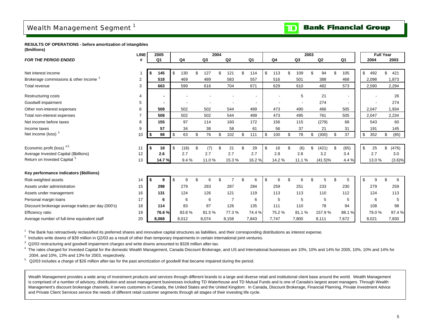## <span id="page-7-0"></span>Wealth Management Segment<sup>1</sup>



**RESULTS OF OPERATIONS - before amortization of intangibles (\$millions)**

|                                                   | <b>LINE</b>    |      | 2005           |            |     |                | 2004 |                |           |                |     |                | 2003 |            |            | <b>Full Year</b> |     |           |
|---------------------------------------------------|----------------|------|----------------|------------|-----|----------------|------|----------------|-----------|----------------|-----|----------------|------|------------|------------|------------------|-----|-----------|
| <b>FOR THE PERIOD ENDED</b>                       | #              |      | Q <sub>1</sub> | Q4         |     | Q <sub>3</sub> |      | Q2             | Q1        | Q <sub>4</sub> |     | Q <sub>3</sub> |      | Q2         | Q1         | 2004             |     | 2003      |
|                                                   |                |      |                |            |     |                |      |                |           |                |     |                |      |            |            |                  |     |           |
| Net interest income                               | 1              | \$   | 145            | \$<br>130  | \$. | 127            | \$   | 121            | \$<br>114 | \$<br>113      | \$. | 109            | \$   | 94         | \$<br>105  | \$<br>492        | \$  | 421       |
| Brokerage commissions & other income <sup>2</sup> | $\overline{c}$ |      | 518            | 469        |     | 489            |      | 583            | 557       | 516            |     | 501            |      | 388        | 468        | 2,098            |     | 1,873     |
| Total revenue                                     | 3              |      | 663            | 599        |     | 616            |      | 704            | 671       | 629            |     | 610            |      | 482        | 573        | 2,590            |     | 2,294     |
| Restructuring costs                               | 4              |      |                |            |     |                |      |                |           |                |     | 5              |      | 21         |            |                  |     | 26        |
| Goodwill impairment                               | 5              |      |                |            |     |                |      |                |           |                |     |                |      | 274        |            |                  |     | 274       |
| Other non-interest expenses                       |                |      | 508            | 502        |     | 502            |      | 544            | 499       | 473            |     | 490            |      | 466        | 505        | 2,047            |     | 1,934     |
|                                                   | 6              |      |                |            |     |                |      |                |           |                |     |                |      |            |            |                  |     |           |
| Total non-interest expenses                       |                |      | 508            | 502        |     | 502            |      | 544            | 499       | 473            |     | 495            |      | 761        | 505        | 2,047            |     | 2,234     |
| Net income before taxes                           | 8              |      | 155            | 97         |     | 114            |      | 160            | 172       | 156            |     | 115            |      | (279)      | 68         | 543              |     | 60        |
| Income taxes                                      | 9              |      | 57             | 34         |     | 38             |      | 58             | 61        | 56             |     | 37             |      | 21         | 31         | 191              |     | 145       |
| Net income (loss) <sup>3</sup>                    | 10             | \$   | 98             | \$<br>63   | \$  | 76             | \$   | 102            | \$<br>111 | \$<br>100      | \$  | 78             | \$   | (300)      | \$<br>37   | \$<br>352        | \$  | (85)      |
|                                                   |                |      |                |            |     |                |      |                |           |                |     |                |      |            |            |                  |     |           |
| Economic profit (loss) 4,5                        | 11             | l \$ | 18             | \$<br>(18) | \$  | (7)            | \$   | 21             | \$<br>29  | \$<br>16       | \$  | (6)            | \$   | (421)      | \$<br>(65) | \$<br>25         | \$  | (476)     |
| Average Invested Capital (\$billions)             | 12             |      | 2.6            | 2.7        |     | 2.7            |      | 2.7            | 2.7       | 2.8            |     | 2.8            |      | 3.2        | 3.4        | 2.7              |     | 3.0       |
| Return on Invested Capital <sup>5</sup>           | 13             |      | 14.7%          | 9.4%       |     | 11.0%          |      | 15.3%          | 16.2 %    | 14.2 %         |     | 11.1%          |      | $(41.5)\%$ | 4.4 %      | 13.0%            |     | $(3.6)\%$ |
|                                                   |                |      |                |            |     |                |      |                |           |                |     |                |      |            |            |                  |     |           |
| Key performance indicators (\$billions)           |                |      |                |            |     |                |      |                |           |                |     |                |      |            |            |                  |     |           |
| Risk-weighted assets                              | 14             | \$   | 9              | \$<br>9    | \$. | 6              | \$   | $\overline{7}$ | \$<br>6   | \$<br>6        | \$. | 6              | \$   | 5          | \$<br>5    | \$<br>9          | \$. | 6         |
| Assets under administration                       | 15             |      | 298            | 279        |     | 283            |      | 287            | 284       | 259            |     | 251            |      | 233        | 230        | 279              |     | 259       |
| Assets under management                           | 16             |      | 131            | 124        |     | 126            |      | 121            | 119       | 113            |     | 113            |      | 110        | 112        | 124              |     | 113       |
| Personal margin loans                             | 17             |      | 6              | 6          |     | 6              |      | $\overline{7}$ | 6         | 5              |     | 5              |      | 5          | 5          | 6                |     | 5         |
| Discount brokerage average trades per day (000's) | 18             |      | 114            | 83         |     | 87             |      | 126            | 135       | 111            |     | 110            |      | 78         | 94         | 108              |     | 98        |
| Efficiency ratio                                  | 19             |      | 76.6%          | 83.8%      |     | 81.5%          |      | 77.3 %         | 74.4 %    | 75.2%          |     | 81.1%          |      | 157.9%     | 88.1 %     | 79.0%            |     | 97.4 %    |
| Average number of full-time equivalent staff      | 20             |      | 8.068          | 8,012      |     | 8,074          |      | 8,158          | 7,843     | 7,747          |     | 7,800          |      | 8,111      | 7,672      | 8,021            |     | 7,830     |
|                                                   |                |      |                |            |     |                |      |                |           |                |     |                |      |            |            |                  |     |           |

<sup>1</sup> The Bank has retroactively reclassified its preferred shares and innovative capital structures as liabilities, and their corresponding distributions as interest expense.

 $2$  Includes write downs of \$39 million in Q2/03 as a result of other than temporary impairments in certain international joint ventures.

<sup>3</sup> Q2/03 restructuring and goodwill impairment charges and write downs amounted to \$328 million after-tax.

<sup>4</sup> The rates charged for Invested Capital for the domestic Wealth Management, Canada Discount Brokerage, and US and International businesses are 10%, 10% and 14% for 2005, 10%, 10% and 14% for 2005, 10% and 14% for 2004, and 10%, 13% and 13% for 2003, respectively.

5 Q2/03 includes a charge of \$26 million after-tax for the past amortization of goodwill that became impaired during the period.

Wealth Management provides a wide array of investment products and services through different brands to a large and diverse retail and institutional client base around the world. Wealth Management is comprised of a number of advisory, distribution and asset management businesses including TD Waterhouse and TD Mutual Funds and is one of Canada's largest asset managers. Through Wealth Management's discount brokerage channels, it serves customers in Canada, the United States and the United Kingdom. In Canada, Discount Brokerage, Financial Planning, Private Investment Advice and Private Client Services service the needs of different retail customer segments through all stages of their investing life cycle.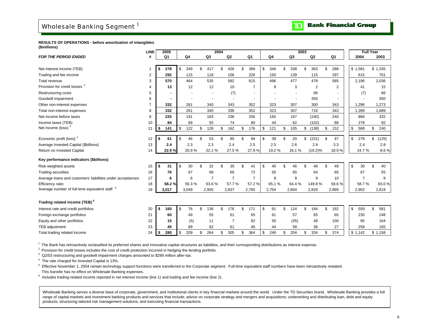### <span id="page-8-0"></span>Wholesale Banking Segment<sup>1</sup>

**Bank Financial Group** DI

**RESULTS OF OPERATIONS - before amortization of intangibles (\$millions)**

|                                                            | <b>LINE</b>    | 2005           |                |                | 2004 |                |     |                |           |           | 2003 |                |                | <b>Full Year</b> |             |
|------------------------------------------------------------|----------------|----------------|----------------|----------------|------|----------------|-----|----------------|-----------|-----------|------|----------------|----------------|------------------|-------------|
| <b>FOR THE PERIOD ENDED</b>                                | #              | Q <sub>1</sub> | Q <sub>4</sub> | Q3             |      | Q <sub>2</sub> |     | Q <sub>1</sub> | Q4        | Q3        |      | Q2             | Q1             | 2004             | 2003        |
|                                                            |                |                |                |                |      |                |     |                |           |           |      |                |                |                  |             |
| Net interest income (TEB)                                  | 1              | \$<br>278      | \$<br>349      | \$<br>417      | \$   | 426            | \$  | 389            | \$<br>346 | \$<br>338 | \$   | 363            | \$<br>288      | \$1,581          | \$1,335     |
| Trading and fee income                                     | $\overline{2}$ | 292            | 115            | 118            |      | 156            |     | 226            | 150       | 139       |      | 115            | 297            | 615              | 701         |
| Total revenue                                              | 3              | 570            | 464            | 535            |      | 582            |     | 615            | 496       | 477       |      | 478            | 585            | 2,196            | 2,036       |
| Provision for credit losses                                | 4              | 13             | 12             | 12             |      | 10             |     | $\overline{7}$ | 8         | 3         |      | $\overline{2}$ | $\overline{2}$ | 41               | 15          |
| <b>Restructuring costs</b>                                 | 5              |                |                |                |      | (7)            |     |                |           |           |      | 66             |                | (7)              | 66          |
| Goodwill impairment                                        | 6              | ٠              |                |                |      |                |     |                |           |           |      | 350            |                |                  | 350         |
| Other non-interest expenses                                | 7              | 332            | 261            | 340            |      | 343            |     | 352            | 323       | 307       |      | 300            | 343            | 1,296            | 1,273       |
| Total non-interest expenses                                | 8              | 332            | 261            | 340            |      | 336            |     | 352            | 323       | 307       |      | 716            | 343            | 1,289            | 1,689       |
| Net income before taxes                                    | 9              | 225            | 191            | 183            |      | 236            |     | 256            | 165       | 167       |      | (240)          | 240            | 866              | 332         |
| Income taxes (TEB)                                         | 10             | 84             | 69             | 55             |      | 74             |     | 80             | 44        | 62        |      | (102)          | 88             | 278              | 92          |
| Net income (loss) <sup>3</sup>                             | 11             | \$<br>141      | \$<br>122      | \$<br>128      | \$   | 162            | \$  | 176            | \$<br>121 | \$<br>105 | \$   | (138)          | \$<br>152      | \$<br>588        | \$<br>240   |
|                                                            |                |                |                |                |      |                |     |                |           |           |      |                |                |                  |             |
| Economic profit (loss) <sup>4</sup>                        | 12             | \$<br>61       | \$<br>46       | \$<br>53       | \$   | 85             | \$  | 94             | \$<br>39  | \$<br>20  | \$   | (231)          | \$<br>47       | \$<br>278        | \$<br>(125) |
| Average Invested Capital (\$billions)                      | 13             | 2.4            | 2.3            | 2.3            |      | 2.4            |     | 2.5            | 2.5       | 2.6       |      | 2.9            | 3.3            | 2.4              | 2.8         |
| Return on Invested Capital                                 | 14             | 22.9%          | 20.9%          | 22.1%          |      | 27.5%          |     | 27.9%          | 19.2%     | 16.1%     |      | $(19.2)\%$     | 18.9%          | 24.7%            | 8.6%        |
| Key performance indicators (\$billions)                    |                |                |                |                |      |                |     |                |           |           |      |                |                |                  |             |
| Risk-weighted assets                                       | 15             | \$<br>31       | \$<br>30       | \$<br>32       | \$   | 35             | \$  | 41             | \$<br>40  | \$<br>46  | \$   | 48             | \$<br>49       | \$<br>30         | \$<br>40    |
| <b>Trading securities</b>                                  | 16             | 76             | 67             | 68             |      | 66             |     | 72             | 55        | 65        |      | 64             | 65             | 67               | 55          |
| Average loans and customers' liabilities under acceptances | 17             | 6              | 6              | $\overline{7}$ |      | $\overline{7}$ |     | $\overline{7}$ | 8         | 9         |      | 9              | 10             | $\overline{7}$   | 9           |
| Efficiency ratio                                           | 18             | 58.2%          | 56.3%          | 63.6%          |      | 57.7%          |     | 57.2%          | 65.1%     | 64.4%     |      | 149.8%         | 58.6%          | 58.7%            | 83.0%       |
| Average number of full-time equivalent staff 5             | 19             | 3,017          | 3,049          | 2,955          |      | 2,837          |     | 2,765          | 2,754     | 2,804     |      | 2,829          | 2,889          | 2,902            | 2,819       |
|                                                            |                |                |                |                |      |                |     |                |           |           |      |                |                |                  |             |
| Trading related income (TEB) <sup>6</sup>                  |                |                |                |                |      |                |     |                |           |           |      |                |                |                  |             |
| Interest rate and credit portfolios                        | 20             | \$<br>160      | \$<br>76       | \$<br>136      | \$   | 176            | \$. | 171            | \$<br>91  | \$<br>124 | \$   | 184            | \$<br>182      | \$<br>559        | \$<br>581   |
| Foreign exchange portfolios                                | 21             | 60             | 49             | 55             |      | 61             |     | 65             | 61        | 57        |      | 65             | 65             | 230              | 248         |
| Equity and other portfolios                                | 22             | 15             | (5)            | 11             |      | $\overline{7}$ |     | 82             | 50        | (35)      |      | 49             | 100            | 95               | 164         |
| <b>TEB</b> adjustment                                      | 23             | 45             | 89             | 62             |      | 61             |     | 46             | 44        | 58        |      | 36             | 27             | 258              | 165         |
| Total trading related income                               | 24             | \$<br>280      | \$<br>209      | \$<br>264      | \$   | 305            | \$  | 364            | \$<br>246 | \$<br>204 | \$   | 334            | \$<br>374      | \$1,142          | \$1,158     |

<sup>1</sup> The Bank has retroactively reclassified its preferred shares and innovative capital structures as liabilities, and their corresponding distributions as interest expense.

<sup>2</sup> Provision for credit losses includes the cost of credit protection incurred in hedging the lending portfolio.

<sup>3</sup> Q2/03 restructuring and goodwill impairment charges amounted to \$289 million after-tax.

4 The rate charged for Invested Capital is 13%.

5 Effective November 1, 2004 certain technology support functions were transferred to the Corporate segment. Full-time equivalent staff numbers have been retroactively restated. This transfer has no effect on Wholesale Banking expenses.

 $6$  Includes trading-related income reported in net interest income (line 1) and trading and fee income (line 2).

Wholesale Banking serves a diverse base of corporate, government, and institutional clients in key financial markets around the world. Under the TD Securities brand, Wholesale Banking provides a full range of capital markets and investment banking products and services that include; advice on corporate strategy and mergers and acquisitions; underwriting and distributing loan, debt and equity products; structuring tailored risk management solutions; and executing financial transactions.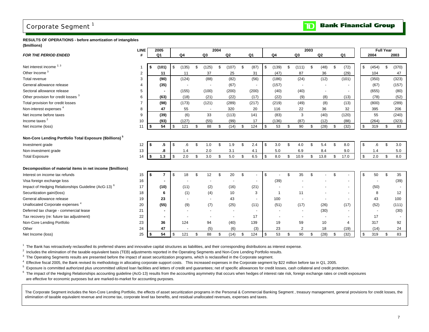### <span id="page-9-0"></span>Corporate Segment<sup>1</sup>

**Bank Financial Group**  $\mathbf{D}$ 

#### **RESULTS OF OPERATIONS - before amortization of intangibles (\$millions)**

|                                                                     | <b>LINE</b> | 2005           |                          |                          | 2004 |                |                |                |                | 2003 |                          |                |              |                          | <b>Full Year</b> |       |
|---------------------------------------------------------------------|-------------|----------------|--------------------------|--------------------------|------|----------------|----------------|----------------|----------------|------|--------------------------|----------------|--------------|--------------------------|------------------|-------|
| <b>FOR THE PERIOD ENDED</b>                                         | #           | Q <sub>1</sub> | Q4                       | Q3                       |      | Q <sub>2</sub> | Q <sub>1</sub> | Q4             | Q3             |      | Q2                       | Q <sub>1</sub> |              | 2004                     |                  | 2003  |
|                                                                     |             |                |                          |                          |      |                |                |                |                |      |                          |                |              |                          |                  |       |
| Net interest income <sup>2, 3</sup>                                 |             | \$<br>(101)    | \$<br>(135)              | \$<br>(125)              | \$   | (107)          | \$<br>(87)     | \$<br>(139)    | \$<br>(111)    | \$   | (48)                     | \$<br>(72)     | \$           | (454)                    | \$               | (370) |
| Other Income <sup>3</sup>                                           | 2           | 11             | 11                       | 37                       |      | 25             | 31             | (47)           | 87             |      | 36                       | (29)           |              | 104                      |                  | 47    |
| Total revenue                                                       | 3           | (90)           | (124)                    | (88)                     |      | (82)           | (56)           | (186)          | (24)           |      | (12)                     | (101)          |              | (350)                    |                  | (323) |
| General allowance release                                           |             | (35)           |                          |                          |      | (67)           |                | (157)          | $\sim$         |      |                          |                |              | (67)                     |                  | (157) |
| Sectoral allowance release                                          | 5           |                | (155)                    | (100)                    |      | (200)          | (200)          | (40)           | (40)           |      |                          |                |              | (655)                    |                  | (80)  |
| Other provision for credit losses <sup>3</sup>                      | 6           | (63)           | (18)                     | (21)                     |      | (22)           | (17)           | (22)           | (9)            |      | (8)                      | (13)           |              | (78)                     |                  | (52)  |
| Total provision for credit losses                                   |             | (98)           | (173)                    | (121)                    |      | (289)          | (217)          | (219)          | (49)           |      | (8)                      | (13)           |              | (800)                    |                  | (289) |
| Non-interest expenses <sup>4</sup>                                  | 8           | 47             | 55                       | $\overline{\phantom{a}}$ |      | 320            | 20             | 116            | 22             |      | 36                       | 32             |              | 395                      |                  | 206   |
| Net income before taxes                                             | 9           | (39)           | (6)                      | 33                       |      | (113)          | 141            | (83)           | 3              |      | (40)                     | (120)          |              | 55                       |                  | (240) |
| Income taxes <sup>2</sup>                                           | 10          | (93)           | (127)                    | (55)                     |      | (99)           | 17             | (136)          | (87)           |      | (12)                     | (88)           |              | (264)                    |                  | (323) |
| Net income (loss)                                                   | 11          | \$<br>54       | \$<br>121                | \$<br>88                 | \$   | (14)           | \$<br>124      | \$<br>53       | \$<br>90       | \$   | (28)                     | \$<br>(32)     | \$           | 319                      | \$               | 83    |
|                                                                     |             |                |                          |                          |      |                |                |                |                |      |                          |                |              |                          |                  |       |
| Non-Core Lending Portfolio Total Exposure (\$billions) <sup>5</sup> |             |                |                          |                          |      |                |                |                |                |      |                          |                |              |                          |                  |       |
| Investment grade                                                    | 12          | \$<br>.5       | \$<br>.6                 | \$<br>1.0                | -S   | 1.9            | \$<br>2.4      | \$<br>3.0      | \$<br>4.0      | \$   | 5.4                      | \$<br>8.0      | \$           | $6 \cdot$                | \$               | 3.0   |
| Non-investment grade                                                | 13          | .8             | 1.4                      | 2.0                      |      | 3.1            | 4.1            | 5.0            | 6.9            |      | 8.4                      | 9.0            |              | 1.4                      |                  | 5.0   |
| <b>Total Exposure</b>                                               | 14          | \$<br>1.3      | \$<br>2.0                | \$<br>3.0                | \$   | 5.0            | \$<br>6.5      | \$<br>8.0      | \$<br>10.9     | \$   | 13.8                     | \$<br>17.0     | $\mathbb{S}$ | 2.0                      | \$               | 8.0   |
|                                                                     |             |                |                          |                          |      |                |                |                |                |      |                          |                |              |                          |                  |       |
| Decomposition of material items in net income (\$millions)          |             |                |                          |                          |      |                |                |                |                |      |                          |                |              |                          |                  |       |
| Interest on income tax refunds                                      | 15          | \$             | \$<br>18                 | \$<br>12                 | -S   | 20             | \$             | \$             | \$<br>35       | \$   |                          | \$             | \$           | 50                       | \$               | 35    |
| Visa foreign exchange loss                                          | 16          |                |                          |                          |      |                |                | (39)           |                |      |                          |                |              | $\overline{\phantom{a}}$ |                  | (39)  |
| Impact of Hedging Relationships Guideline (AcG-13) <sup>6</sup>     | 17          | (10)           | (11)                     | (2)                      |      | (16)           | (21)           |                |                |      |                          | ٠              |              | (50)                     |                  |       |
| Securitization gain/(loss)                                          | 18          | 6              | (1)                      | (4)                      |      | 10             | 3              | $\overline{1}$ | 11             |      |                          | ٠              |              | 8                        |                  | 12    |
| General allowance release                                           | 19          | 23             | $\overline{\phantom{a}}$ |                          |      | 43             |                | 100            |                |      | $\overline{\phantom{a}}$ |                |              | 43                       |                  | 100   |
| Unallocated Corporate expenses <sup>4</sup>                         | 20          | (55)           | (9)                      | (7)                      |      | (25)           | (11)           | (51)           | (17)           |      | (26)                     | (17)           |              | (52)                     |                  | (111) |
| Deferred tax charge - commercial lease                              | 21          | ۰              |                          |                          |      |                |                |                |                |      | (30)                     |                |              | $\overline{\phantom{a}}$ |                  | (30)  |
| Tax recovery (re: future tax adjustment)                            | 22          | $\blacksquare$ |                          |                          |      |                | 17             |                |                |      |                          |                |              | 17                       |                  |       |
| Non-Core Lending Portfolio                                          | 23          | 36             | 124                      | 94                       |      | (40)           | 139            | 19             | 59             |      | 10                       | 4              |              | 317                      |                  | 92    |
| Other                                                               | 24          | 47             |                          | (5)                      |      | (6)            | (3)            | 23             | $\overline{2}$ |      | 18                       | (19)           |              | (14)                     |                  | 24    |
| Net Income (loss)                                                   | 25          | \$<br>54       | \$<br>121                | \$<br>88                 | \$   | (14)           | \$<br>124      | \$<br>53       | \$<br>90       | \$   | (28)                     | \$<br>(32)     | \$           | 319                      | \$               | 83    |

 $1$  The Bank has retroactively reclassified its preferred shares and innovative capital structures as liabilities, and their corresponding distributions as interest expense.

<sup>2</sup> Includes the elimination of the taxable equivalent basis (TEB) adjustments reported in the Operating Segments and Non-Core Lending Portfolio results.

 $3$  The Operating Segments results are presented before the impact of asset securitization programs, which is reclassified in the Corporate segment.

<sup>4</sup> Effective fiscal 2005, the Bank revised its methodology in allocating corporate support costs. This increased expenses in the Corporate segment by \$22 million before tax in Q1, 2005.

<sup>5</sup> Exposure is committed authorized plus uncommitted utilized loan facilities and letters of credit and guarantees; net of specific allowances for credit losses, cash collateral and credit protection.

 $6$  The impact of the Hedging Relationships accounting guideline (AcG-13) results from the accounting asymmetry that occurs when hedges of interest rate risk, foreign exchange rates or credit exposures

are effective for economic purposes but are marked-to-market for accounting purposes.

The Corporate Segment includes the Non-Core Lending Portfolio, the effects of asset securitization programs in the Personal & Commercial Banking Segment, treasury management, general provisions for credit losses, the elimination of taxable equivalent revenue and income tax, corporate level tax benefits, and residual unallocated revenues, expenses and taxes.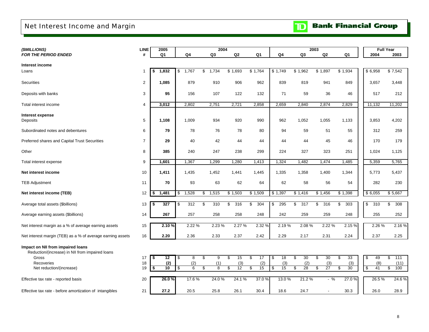## <span id="page-10-0"></span>Net Interest Income and Margin

| (\$MILLIONS)                                                                         | <b>LINE</b>    | 2005        |                 | 2004                 |                |           |           |                        | 2003           |           |           | <b>Full Year</b>       |
|--------------------------------------------------------------------------------------|----------------|-------------|-----------------|----------------------|----------------|-----------|-----------|------------------------|----------------|-----------|-----------|------------------------|
| <b>FOR THE PERIOD ENDED</b>                                                          | #              | Q1          | Q4              | Q3                   | Q <sub>2</sub> | Q1        | Q4        | Q <sub>3</sub>         | Q <sub>2</sub> | Q1        | 2004      | 2003                   |
|                                                                                      |                |             |                 |                      |                |           |           |                        |                |           |           |                        |
| Interest income                                                                      |                |             |                 |                      |                |           |           |                        |                |           |           |                        |
| Loans                                                                                | -1             | 1,832<br>\$ | \$<br>1,767     | \$<br>1,734          | \$1,693        | \$1,764   | \$1,749   | \$1,962                | \$1,897        | \$1,934   | \$6,958   | \$7,542                |
| Securities                                                                           | $\overline{2}$ | 1,085       | 879             | 910                  | 906            | 962       | 839       | 819                    | 941            | 849       | 3,657     | 3,448                  |
| Deposits with banks                                                                  | 3              | 95          | 156             | 107                  | 122            | 132       | 71        | 59                     | 36             | 46        | 517       | 212                    |
| Total interest income                                                                | $\overline{4}$ | 3,012       | 2,802           | 2,751                | 2,721          | 2,858     | 2,659     | 2,840                  | 2,874          | 2,829     | 11,132    | 11,202                 |
|                                                                                      |                |             |                 |                      |                |           |           |                        |                |           |           |                        |
| Interest expense<br>Deposits                                                         | 5              | 1,108       | 1,009           | 934                  | 920            | 990       | 962       | 1,052                  | 1,055          | 1,133     | 3,853     | 4,202                  |
| Subordinated notes and debentures                                                    | 6              | 79          | 78              | 76                   | 78             | 80        | 94        | 59                     | 51             | 55        | 312       | 259                    |
| Preferred shares and Capital Trust Securities                                        | $\overline{7}$ | 29          | 40              | 42                   | 44             | 44        | 44        | 44                     | 45             | 46        | 170       | 179                    |
| Other                                                                                | 8              | 385         | 240             | 247                  | 238            | 299       | 224       | 327                    | 323            | 251       | 1,024     | 1,125                  |
| Total interest expense                                                               | 9              | 1,601       | 1,367           | 1,299                | 1,280          | 1,413     | ,324      | 1,482                  | 1,474          | 1,485     | 5,359     | 5,765                  |
| Net interest income                                                                  | 10             | 1,411       | 1,435           | 1,452                | 1,441          | 1,445     | 1,335     | 1,358                  | 1,400          | 1,344     | 5,773     | 5,437                  |
| <b>TEB Adjustment</b>                                                                | 11             | 70          | 93              | 63                   | 62             | 64        | 62        | 58                     | 56             | 54        | 282       | 230                    |
| Net interest income (TEB)                                                            | 12             | 1,481<br>\$ | 1,528<br>\$     | \$<br>1,515          | \$1,503        | \$1,509   | \$1,397   | \$1,416                | \$1,456        | \$1,398   | \$6,055   | \$5,667                |
| Average total assets (\$billions)                                                    | 13             | 327<br>\$   | 312<br>\$       | \$<br>310            | \$<br>316      | 304<br>\$ | \$<br>295 | $\overline{317}$<br>\$ | \$<br>316      | \$<br>303 | \$<br>310 | \$<br>308              |
| Average earning assets (\$billions)                                                  | 14             | 267         | 257             | 258                  | 258            | 248       | 242       | 259                    | 259            | 248       | 255       | 252                    |
| Net interest margin as a % of average earning assets                                 | 15             | 2.10%       | 2.22%           | 2.23 %               | 2.27%          | 2.32%     | 2.19%     | 2.08%                  | 2.22 %         | 2.15%     | 2.26 %    | 2.16%                  |
| Net interest margin (TEB) as a % of average earning assets                           | 16             | 2.20        | 2.36            | 2.33                 | 2.37           | 2.42      | 2.29      | 2.17                   | 2.31           | 2.24      | 2.37      | 2.25                   |
| Impact on NII from impaired loans<br>Reduction/(increase) in NII from impaired loans |                |             |                 |                      |                |           |           |                        |                |           |           |                        |
| Gross                                                                                | 17             | 12<br>\$    | $\sqrt{3}$<br>8 | \$<br>9              | \$<br>15       | 17<br>\$  | \$<br>18  | 30<br>\$               | \$<br>30       | \$<br>33  | \$<br>49  | $\overline{111}$<br>\$ |
| Recoveries                                                                           | 18             | (2)         | (2)             | (1)                  | (3)            | (2)       | (3)       | (2)                    | (3)            | (3)       | (8)       | (11)                   |
| Net reduction/(increase)                                                             | 19             | 10<br>\$    | s,<br>6         | \$<br>$\overline{8}$ | 12<br>\$       | 15<br>\$  | 15<br>\$  | 28<br>\$               | \$<br>27       | S<br>30   | s,<br>41  | 100<br>\$              |
| Effective tax rate - reported basis                                                  | 20             | 26.0%       | 17.6%           | 24.0 %               | 24.1 %         | 37.0%     | 13.0 %    | 21.2%                  | $-$ %          | 27.0 %    | 26.5%     | 24.6%                  |
| Effective tax rate - before amortization of intangibles                              | 21             | 27.2        | 20.5            | 25.8                 | 26.1           | 30.4      | 18.6      | 24.7                   | $\blacksquare$ | 30.3      | 26.0      | 28.9                   |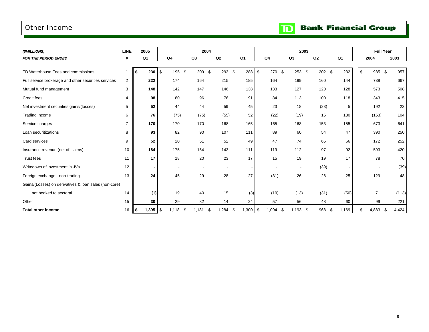### <span id="page-11-0"></span>Other Income

 $\overline{\mathbf{D}}$ **Bank Financial Group** 

| (\$MILLIONS)                                          | <b>LINE</b>    | 2005           |                          | 2004           |             |                          |                          | 2003                     |                |                |               | <b>Full Year</b> |       |
|-------------------------------------------------------|----------------|----------------|--------------------------|----------------|-------------|--------------------------|--------------------------|--------------------------|----------------|----------------|---------------|------------------|-------|
| <b>FOR THE PERIOD ENDED</b>                           | #              | Q <sub>1</sub> | Q <sub>4</sub>           | Q <sub>3</sub> | Q2          | Q <sub>1</sub>           | Q <sub>4</sub>           | Q3                       | Q2             | Q <sub>1</sub> |               | 2004             | 2003  |
|                                                       |                |                |                          |                |             |                          |                          |                          |                |                |               |                  |       |
| TD Waterhouse Fees and commissions                    |                | 230<br>\$      | \$<br>195 \$             | 209 \$         | 293 \$      | 288                      | \$<br>270 \$             | 253                      | \$<br>$202$ \$ | 232            | $\mathsf{\$}$ | 985 \$           | 957   |
| Full service brokerage and other securities services  | $\overline{2}$ | 222            | 174                      | 164            | 215         | 185                      | 164                      | 199                      | 160            | 144            |               | 738              | 667   |
| Mutual fund management                                | 3              | 148            | 142                      | 147            | 146         | 138                      | 133                      | 127                      | 120            | 128            |               | 573              | 508   |
| Credit fees                                           | 4              | 98             | 80                       | 96             | 76          | 91                       | 84                       | 113                      | 100            | 118            |               | 343              | 415   |
| Net investment securities gains/(losses)              | 5              | 52             | 44                       | 44             | 59          | 45                       | 23                       | 18                       | (23)           | 5              |               | 192              | 23    |
| Trading income                                        | 6              | 76             | (75)                     | (75)           | (55)        | 52                       | (22)                     | (19)                     | 15             | 130            |               | (153)            | 104   |
| Service charges                                       | $\overline{7}$ | 170            | 170                      | 170            | 168         | 165                      | 165                      | 168                      | 153            | 155            |               | 673              | 641   |
| Loan securitizations                                  | 8              | 93             | 82                       | 90             | 107         | 111                      | 89                       | 60                       | 54             | 47             |               | 390              | 250   |
| Card services                                         | 9              | 52             | 20                       | 51             | 52          | 49                       | 47                       | 74                       | 65             | 66             |               | 172              | 252   |
| Insurance revenue (net of claims)                     | 10             | 184            | 175                      | 164            | 143         | 111                      | 119                      | 112                      | 97             | 92             |               | 593              | 420   |
| Trust fees                                            | 11             | 17             | 18                       | 20             | 23          | 17                       | 15                       | 19                       | 19             | 17             |               | 78               | 70    |
| Writedown of investment in JVs                        | 12             |                | $\overline{\phantom{a}}$ |                |             | $\overline{\phantom{a}}$ | $\overline{\phantom{a}}$ | $\overline{\phantom{a}}$ | (39)           |                |               |                  | (39)  |
| Foreign exchange - non-trading                        | 13             | 24             | 45                       | 29             | 28          | 27                       | (31)                     | 26                       | 28             | 25             |               | 129              | 48    |
| Gains/(Losses) on derivatives & loan sales (non-core) |                |                |                          |                |             |                          |                          |                          |                |                |               |                  |       |
| not booked to sectoral                                | 14             | (1)            | 19                       | 40             | 15          | (3)                      | (19)                     | (13)                     | (31)           | (50)           |               | 71               | (113) |
| Other                                                 | 15             | 30             | 29                       | 32             | 14          | 24                       | 57                       | 56                       | 48             | 60             |               | 99               | 221   |
| <b>Total other income</b>                             | 16             | \$             | 1,118                    | - \$<br>1,181  | ,284<br>\$. | 1,300<br>-\$             | -\$<br>1,094             | 1,193<br>S.              | 968<br>-\$     | 1,169<br>- \$  | \$            | 4,883<br>-\$     | 4,424 |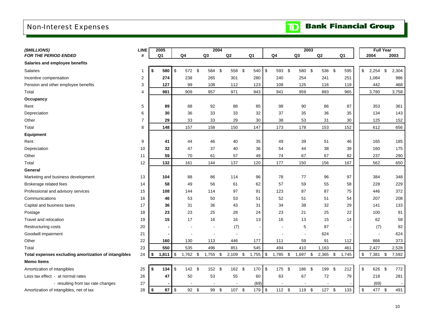## <span id="page-12-0"></span>Non-Interest Expenses

| (\$MILLIONS)                                         | <b>LINE</b>    | 2005           |                         |                | 2004     |            |                          |                           |                          |                | 2003       |           |            |       | <b>Full Year</b> |      |       |
|------------------------------------------------------|----------------|----------------|-------------------------|----------------|----------|------------|--------------------------|---------------------------|--------------------------|----------------|------------|-----------|------------|-------|------------------|------|-------|
| <b>FOR THE PERIOD ENDED</b>                          | #              | Q <sub>1</sub> |                         | Q <sub>4</sub> | Q3       | ${\sf Q2}$ | Q <sub>1</sub>           |                           | Q <sub>4</sub>           | Q <sub>3</sub> |            | Q2        |            | Q1    | 2004             |      | 2003  |
| Salaries and employee benefits                       |                |                |                         |                |          |            |                          |                           |                          |                |            |           |            |       |                  |      |       |
| <b>Salaries</b>                                      | -1             | \$<br>580      | \$                      | 572 \$         | 584 \$   | 558 \$     | 540                      | \$                        | 593 \$                   | 580 \$         |            | 536       | $\sqrt{3}$ | 595   | \$<br>2,254      | \$   | 2,304 |
| Incentive compensation                               | 2              | 274            |                         | 238            | 265      | 301        | 280                      |                           | 240                      | 254            |            | 241       |            | 251   | 1,084            |      | 986   |
| Pension and other employee benefits                  | 3              | 127            |                         | 99             | 108      | 112        | 123                      |                           | 108                      | 125            |            | 116       |            | 119   | 442              |      | 468   |
| Total                                                | $\overline{4}$ | 981            |                         | 909            | 957      | 971        | 943                      |                           | 941                      | 959            |            | 893       |            | 965   | 3,780            |      | 3,758 |
| Occupancy                                            |                |                |                         |                |          |            |                          |                           |                          |                |            |           |            |       |                  |      |       |
| Rent                                                 | 5              | 89             |                         | 88             | 92       | 88         | 85                       |                           | 98                       | 90             |            | 86        |            | 87    | 353              |      | 361   |
| Depreciation                                         | 6              | 30             |                         | 36             | 33       | 33         | 32                       |                           | 37                       | 35             |            | 36        |            | 35    | 134              |      | 143   |
| Other                                                | $\overline{7}$ | 29             |                         | 33             | 33       | 29         | 30                       |                           | 38                       | 53             |            | 31        |            | 30    | 125              |      | 152   |
| Total                                                | 8              | 148            |                         | 157            | 158      | 150        | 147                      |                           | 173                      | 178            |            | 153       |            | 152   | 612              |      | 656   |
| <b>Equipment</b>                                     |                |                |                         |                |          |            |                          |                           |                          |                |            |           |            |       |                  |      |       |
| Rent                                                 | 9              | 41             |                         | 44             | 46       | 40         | 35                       |                           | 49                       | 39             |            | 51        |            | 46    | 165              |      | 185   |
| Depreciation                                         | 10             | 32             |                         | 47             | 37       | 40         | 36                       |                           | 54                       | 44             |            | 38        |            | 39    | 160              |      | 175   |
| Other                                                | 11             | 59             |                         | 70             | 61       | 57         | 49                       |                           | 74                       | 67             |            | 67        |            | 82    | 237              |      | 290   |
| Total                                                | 12             | 132            |                         | 161            | 144      | 137        | 120                      |                           | 177                      | 150            |            | 156       |            | 167   | 562              |      | 650   |
| General                                              |                |                |                         |                |          |            |                          |                           |                          |                |            |           |            |       |                  |      |       |
| Marketing and business development                   | 13             | 104            |                         | 88             | 86       | 114        | 96                       |                           | 78                       | 77             |            | 96        |            | 97    | 384              |      | 348   |
| Brokerage related fees                               | 14             | 58             |                         | 49             | 56       | 61         | 62                       |                           | 57                       | 59             |            | 55        |            | 58    | 228              |      | 229   |
| Professional and advisory services                   | 15             | 108            |                         | 144            | 114      | 97         | 91                       |                           | 123                      | 87             |            | 87        |            | 75    | 446              |      | 372   |
| Communications                                       | 16             | 46             |                         | 53             | 50       | 53         | 51                       |                           | 52                       | 51             |            | 51        |            | 54    | 207              |      | 208   |
| Capital and business taxes                           | 17             | 36             |                         | 31             | 36       | 43         | 31                       |                           | 34                       | 38             |            | 32        |            | 29    | 141              |      | 133   |
| Postage                                              | 18             | 23             |                         | 23             | 25       | 28         | 24                       |                           | 23                       | 21             |            | 25        |            | 22    | 100              |      | 91    |
| Travel and relocation                                | 19             | 15             |                         | 17             | 16       | 16         | 13                       |                           | 16                       | 13             |            | 15        |            | 14    | 62               |      | 58    |
| Restructuring costs                                  | 20             |                |                         |                |          | (7)        | $\overline{\phantom{a}}$ |                           | $\overline{\phantom{a}}$ | 5              |            | 87        |            |       | (7)              |      | 92    |
| Goodwill impairment                                  | 21             |                |                         |                |          |            |                          |                           |                          |                |            | 624       |            |       |                  |      | 624   |
| Other                                                | 22             | 160            |                         | 130            | 113      | 446        | 177                      |                           | 111                      | 59             |            | 91        |            | 112   | 866              |      | 373   |
| Total                                                | 23             | 550            |                         | 535            | 496      | 851        | 545                      |                           | 494                      | 410            |            | 1,163     |            | 461   | 2,427            |      | 2,528 |
| Total expenses excluding amortization of intangibles | 24             | \$<br>1,811    | $\sqrt[6]{\frac{1}{2}}$ | $1,762$ \$     | 1,755 \$ | $2,109$ \$ | 1,755                    | \$                        | $1,785$ \$               | 1,697          | $\sqrt{3}$ | 2,365     | \$         | 1,745 | \$<br>7,381 \$   |      | 7,592 |
| <b>Memo Items</b>                                    |                |                |                         |                |          |            |                          |                           |                          |                |            |           |            |       |                  |      |       |
| Amortization of intangibles                          | 25             | \$<br>134      | \$                      | 142 \$         | 152 \$   | 162 \$     | 170                      | $\boldsymbol{\mathsf{S}}$ | 175 \$                   | 186            | - \$       | 199       | - \$       | 212   | \$<br>626        | - \$ | 772   |
| Less tax effect - at normal rates                    | 26             | 47             |                         | 50             | 53       | 55         | 60                       |                           | 63                       | 67             |            | 72        |            | 79    | 218              |      | 281   |
| - resulting from tax rate changes                    | 27             |                |                         |                |          |            | (69)                     |                           |                          |                |            |           |            |       | (69)             |      |       |
| Amortization of intangibles, net of tax              | 28             | \$<br>87       | \$                      | 92 \$          | 99 \$    | 107 \$     | 179                      | \$                        | 112 \$                   | 119 \$         |            | $127 - $$ |            | 133   | \$<br>477 \$     |      | 491   |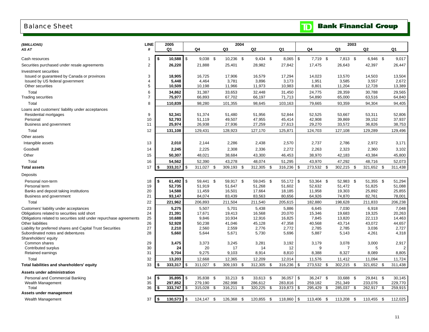#### <span id="page-13-0"></span>Balance Sheet

| (\$MILLIONS)                                                                            | LINE                | 2005               |            |                  |      | 2004             |     |                  |     |                  |               |                  |      | 2003             |      |                  |      |                  |
|-----------------------------------------------------------------------------------------|---------------------|--------------------|------------|------------------|------|------------------|-----|------------------|-----|------------------|---------------|------------------|------|------------------|------|------------------|------|------------------|
| AS AT                                                                                   | #                   | Q1                 |            | Q4               |      | Q3               |     | Q2               |     | Q1               |               | Q4               |      | Q3               |      | Q2               |      | Q1               |
|                                                                                         |                     |                    |            |                  |      |                  |     |                  |     |                  |               |                  |      |                  |      |                  |      |                  |
| Cash resources                                                                          |                     | 10,588<br>\$       | $\sqrt{3}$ | $9,038$ \$       |      | 10,236 \$        |     | $9,434$ \$       |     | 8,065            | $\sqrt[6]{3}$ | 7,719 \$         |      | 7,813 \$         |      | 6,946 \$         |      | 9,017            |
| Securities purchased under resale agreements                                            | $\overline{2}$      | 26,220             |            | 21,888           |      | 25,401           |     | 28,982           |     | 27,842           |               | 17,475           |      | 26,643           |      | 42,397           |      | 26,447           |
| Investment securities                                                                   |                     |                    |            |                  |      |                  |     |                  |     |                  |               |                  |      |                  |      |                  |      |                  |
| Issued or guaranteed by Canada or provinces                                             | 3                   | 18,905             |            | 16,725           |      | 17,906           |     | 16,579           |     | 17,294           |               | 14,023           |      | 13,570           |      | 14,503           |      | 13,504           |
| Issued by US federal government<br>Other securities                                     | 4<br>5              | 5,448<br>10,509    |            | 4,464<br>10,198  |      | 3,781<br>11,966  |     | 3,896            |     | 3,173            |               | 1,951<br>8,801   |      | 3,585<br>11,204  |      | 3,557<br>12,728  |      | 2,672<br>13,389  |
|                                                                                         |                     |                    |            |                  |      |                  |     | 11,973           |     | 10,983           |               |                  |      |                  |      |                  |      |                  |
| Total<br><b>Trading securities</b>                                                      | 6<br>$\overline{7}$ | 34,862<br>75,977   |            | 31,387<br>66,893 |      | 33,653<br>67,702 |     | 32,448<br>66,197 |     | 31,450<br>71,713 |               | 24,775<br>54,890 |      | 28,359<br>65,000 |      | 30,788<br>63,516 |      | 29,565<br>64,840 |
|                                                                                         |                     |                    |            |                  |      |                  |     |                  |     |                  |               |                  |      |                  |      |                  |      |                  |
| Total                                                                                   | 8                   | 110,839            |            | 98,280           |      | 101,355          |     | 98,645           |     | 103,163          |               | 79,665           |      | 93,359           |      | 94,304           |      | 94,405           |
| Loans and customers' liability under acceptances                                        |                     |                    |            |                  |      |                  |     |                  |     |                  |               |                  |      |                  |      |                  |      |                  |
| Residential mortgages<br>Personal                                                       | 9<br>10             | 52,341<br>52,793   |            | 51,374<br>51,119 |      | 51,480<br>49,507 |     | 51,956<br>47,955 |     | 52,844<br>45,414 |               | 52,525<br>42,908 |      | 53,667<br>39,869 |      | 53,311<br>39,152 |      | 52,806<br>37,937 |
| Business and government                                                                 | 11                  | 25,974             |            | 26,938           |      | 27,936           |     | 27,259           |     | 27,613           |               | 29,270           |      | 33,572           |      | 36,826           |      | 38,753           |
| Total                                                                                   | 12                  | 131,108            |            | 129,431          |      | 128,923          |     | 127,170          |     | 125,871          |               | 124,703          |      | 127,108          |      | 129,289          |      | 129,496          |
| Other assets                                                                            |                     |                    |            |                  |      |                  |     |                  |     |                  |               |                  |      |                  |      |                  |      |                  |
|                                                                                         |                     |                    |            |                  |      |                  |     |                  |     |                  |               |                  |      |                  |      |                  |      |                  |
| Intangible assets                                                                       | 13                  | 2,010              |            | 2,144            |      | 2,286            |     | 2,438            |     | 2,570            |               | 2,737            |      | 2,786            |      | 2,972            |      | 3,171            |
| Goodwill                                                                                | 14                  | 2,245              |            | 2,225            |      | 2,308            |     | 2,336            |     | 2,272            |               | 2,263            |      | 2,323            |      | 2,360            |      | 3,102            |
| Other                                                                                   | 15                  | 50,307             |            | 48,021           |      | 38,684           |     | 43,300           |     | 46,453           |               | 38,970           |      | 42,183           |      | 43,384           |      | 45,800           |
| Total                                                                                   | 16                  | 54,562             |            | 52,390           |      | 43,278           |     | 48,074           |     | 51,295           |               | 43,970           |      | 47,292           |      | 48,716           |      | 52,073           |
| <b>Total assets</b>                                                                     | 17                  | \$<br>333,317      | \$         | 311,027          | - \$ | 309,193          | \$  | 312,305 \$       |     | 316,236          | \$            | 273,532          | \$   | 302,215 \$       |      | 321,652          | \$   | 311,438          |
| Deposits                                                                                |                     |                    |            |                  |      |                  |     |                  |     |                  |               |                  |      |                  |      |                  |      |                  |
| Personal non-term                                                                       | 18                  | 61,492<br>\$       | $\sqrt{3}$ | 59,441 \$        |      | 59,917 \$        |     | 59,045 \$        |     | 55,172           | $\sqrt[6]{3}$ | 53,364 \$        |      | 52,983 \$        |      | 51,355 \$        |      | 51,294           |
| Personal term                                                                           | 19                  | 52,735             |            | 51,919           |      | 51,647           |     | 51,268           |     | 51,602           |               | 52,632           |      | 51,472           |      | 51,825           |      | 51,088           |
| Banks and deposit taking institutions                                                   | 20                  | 14,588             |            | 11,459           |      | 16,501           |     | 17,664           |     | 18,185           |               | 11,958           |      | 19,303           |      | 25,892           |      | 25,855           |
| Business and government                                                                 | 21                  | 93,147             |            | 84,074           |      | 83,439           |     | 83,563           |     | 80,656           |               | 64,926           |      | 74,870           |      | 82,761           |      | 78,001           |
| Total                                                                                   | 22                  | 221,962            |            | 206,893          |      | 211,504          |     | 211,540          |     | 205,615          |               | 182,880          |      | 198,628          |      | 211,833          |      | 206,238          |
| Customers' liability under acceptances                                                  | 23                  | 5,275              |            | 5,507            |      | 5,701            |     | 5,438            |     | 5,886            |               | 6,645            |      | 7,030            |      | 6,918            |      | 7,048            |
| Obligations related to securities sold short                                            | 24                  | 21,391             |            | 17,671           |      | 19,413           |     | 16,568           |     | 20,070           |               | 15,346           |      | 19,683           |      | 19,325           |      | 20,263           |
| Obligations related to securities sold under repurchase agreements<br>Other liabilities | 25<br>26            | 10,688<br>52,928   |            | 9,846            |      | 10,934           |     | 12,916           |     | 16,825           |               | 7,845<br>40,568  |      | 13,820<br>43,714 |      | 22,113<br>43,072 |      | 14,463           |
| Liability for preferred shares and Capital Trust Securities                             | 27                  | 2,210              |            | 50,238<br>2,560  |      | 41,046<br>2,559  |     | 45,128<br>2,776  |     | 47,358<br>2,772  |               | 2,785            |      | 2,785            |      | 3,036            |      | 44,657<br>2,727  |
| Subordinated notes and debentures                                                       | 28                  | 5,660              |            | 5,644            |      | 5,671            |     | 5,730            |     | 5,696            |               | 5,887            |      | 5,143            |      | 4,261            |      | 4,318            |
| Shareholders' equity                                                                    |                     |                    |            |                  |      |                  |     |                  |     |                  |               |                  |      |                  |      |                  |      |                  |
| Common shares                                                                           | 29                  | 3,475              |            | 3,373            |      | 3,245            |     | 3,281            |     | 3,192            |               | 3,179            |      | 3,078            |      | 3,000            |      | 2,917            |
| Contributed surplus                                                                     | 30                  | 24                 |            | 20               |      | 17               |     | 14               |     | 12               |               | 9                |      | 7                |      | 5                |      | 2                |
| Retained earnings                                                                       | 31                  | 9,704              |            | 9,275            |      | 9,103            |     | 8,914            |     | 8,810            |               | 8,388            |      | 8,327            |      | 8,089            |      | 8,805            |
| Total                                                                                   | 32                  | 13,203             |            | 12,668           |      | 12,365           |     | 12,209           |     | 12,014           |               | 11,576           |      | 11,412           |      | 11,094           |      | 11,724           |
| Total liabilities and shareholders' equity                                              | 33                  | 333,317<br>\$      | \$         | 311,027 \$       |      | 309,193          | -\$ | 312,305 \$       |     | 316,236          | \$            | 273,532          | - \$ | 302,215 \$       |      | 321,652          | - \$ | 311,438          |
| Assets under administration                                                             |                     |                    |            |                  |      |                  |     |                  |     |                  |               |                  |      |                  |      |                  |      |                  |
| Personal and Commercial Banking                                                         | 34                  | \$                 |            | 35,838 \$        |      | 33,213 \$        |     | 33,613 \$        |     | 36,057           | \$            | 36,247 \$        |      | 33,688 \$        |      | 29,841 \$        |      | 30,145           |
| Wealth Management                                                                       | 35                  | 297,852            |            | 279,190          |      | 282,998          |     | 286,612          |     | 283,816          |               | 259,182          |      | 251,349          |      | 233,076          |      | 229,770          |
| Total                                                                                   | 36                  | 333,747<br>S.      | \$         | 315,028          | \$   | 316,211          | \$  | 320,225          | -\$ | 319,873          | \$            | 295,429          | \$   | 285,037          | \$   | 262,917          | \$   | 259,915          |
| Assets under management                                                                 |                     |                    |            |                  |      |                  |     |                  |     |                  |               |                  |      |                  |      |                  |      |                  |
| Wealth Management                                                                       | 37                  | $130,573$ \$<br>\$ |            | 124,147 \$       |      | 126,368 \$       |     | 120,855 \$       |     | 118,860          | $\sqrt{3}$    | 113,406 \$       |      | 113,208          | - \$ | 110.455 \$       |      | 112,025          |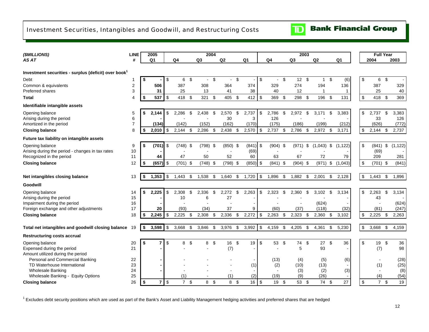### <span id="page-14-0"></span>Investment Securities, Intangibles and Goodwill, and Restructuring Costs

#### **Bank Financial Group**  $\mathbf{D}$

| (\$MILLIONS)                                                     | <b>LINE</b>              |    | 2005           |                         |                |                           | 2004           |                |                |    |                |                  |     | 2003           |     |              |     |                |                           | <b>Full Year</b> |     |          |
|------------------------------------------------------------------|--------------------------|----|----------------|-------------------------|----------------|---------------------------|----------------|----------------|----------------|----|----------------|------------------|-----|----------------|-----|--------------|-----|----------------|---------------------------|------------------|-----|----------|
| AS AT                                                            | #                        |    | Q1             |                         | Q <sub>4</sub> |                           | Q <sub>3</sub> |                | Q2             |    | Q <sub>1</sub> | Q <sub>4</sub>   |     | Q <sub>3</sub> |     | Q2           |     | Q <sub>1</sub> |                           | 2004             |     | 2003     |
|                                                                  |                          |    |                |                         |                |                           |                |                |                |    |                |                  |     |                |     |              |     |                |                           |                  |     |          |
| Investment securities - surplus (deficit) over book <sup>1</sup> |                          |    |                |                         |                |                           |                |                |                |    |                |                  |     |                |     |              |     |                |                           |                  |     |          |
| Debt                                                             | 1                        | \$ |                | \$                      | 6              | \$                        | $\mathbf{r}$   | \$             | $\blacksquare$ | \$ |                | \$<br>$\sim$     | \$  | 12             | -\$ | $\mathbf{1}$ | \$  | (6)            | \$                        | 6                | -\$ |          |
| Common & equivalents                                             | 2                        |    | 506            |                         | 387            |                           | 308            |                | 364            |    | 374            | 329              |     | 274            |     | 194          |     | 136            |                           | 387              |     | 329      |
| Preferred shares                                                 | 3                        |    | 31             |                         | 25             |                           | 13             |                | 41             |    | 38             | 40               |     | 12             |     |              |     |                |                           | 25               |     | 40       |
| <b>Total</b>                                                     | $\overline{\mathcal{L}}$ | \$ | 537            | \$                      | 418 \$         |                           | 321            | \$             | 405            | \$ | 412            | \$<br>369        | -\$ | 298            | -\$ | 196          | -\$ | 131            | \$                        | 418 \$           |     | 369      |
| Identifiable intangible assets                                   |                          |    |                |                         |                |                           |                |                |                |    |                |                  |     |                |     |              |     |                |                           |                  |     |          |
| Opening balance                                                  | 5                        | \$ | 2.144          | \$                      | 2.286          | \$.                       | 2.438          | $\mathfrak{L}$ | 2.570          | S  | 2,737          | \$<br>2,786      | \$  | 2,972          | \$  | 3,171        | \$  | 3,383          | \$                        | 2,737            | \$  | 3,383    |
| Arising during the period                                        | 6                        |    |                |                         |                |                           |                |                | 30             |    | 3              | 126              |     |                |     |              |     |                |                           | 33               |     | 126      |
| Amortized in the period                                          | $\overline{7}$           |    | (134)          |                         | (142)          |                           | (152)          |                | (162)          |    | (170)          | (175)            |     | (186)          |     | (199)        |     | (212)          |                           | (626)            |     | (772)    |
| <b>Closing balance</b>                                           | 8                        | \$ | 2,010          | \$                      | 2,144          | -\$                       | 2,286          | \$             | 2,438          | \$ | 2,570          | \$<br>2,737      | -\$ | 2,786          | \$  | 2,972        | \$  | 3,171          | \$                        | 2,144            | -\$ | 2,737    |
| Future tax liability on intangible assets                        |                          |    |                |                         |                |                           |                |                |                |    |                |                  |     |                |     |              |     |                |                           |                  |     |          |
| Opening balance                                                  | 9                        | \$ | (701)          | \$                      | (748)          | \$                        | (798)          | \$             | (850)          | \$ | (841)          | \$<br>$(904)$ \$ |     | (971)          | \$  | (1,043)      | \$  | (1, 122)       | \$                        | (841)            | \$  | (1, 122) |
| Arising during the period - changes in tax rates                 | 10                       |    |                |                         |                |                           |                |                |                |    | (69)           |                  |     |                |     |              |     |                |                           | (69)             |     |          |
| Recognized in the period                                         | 11                       |    | 44             |                         | 47             |                           | 50             |                | 52             |    | 60             | 63               |     | 67             |     | 72           |     | 79             |                           | 209              |     | 281      |
| <b>Closing balance</b>                                           | 12                       | \$ | (657)          | \$                      | $(701)$ \$     |                           | (748)          | \$             | (798)          | \$ | (850)          | \$<br>$(841)$ \$ |     | $(904)$ \$     |     | (971)        | \$  | (1,043)        | \$                        | $(701)$ \$       |     | (841)    |
|                                                                  |                          |    |                |                         |                |                           |                |                |                |    |                |                  |     |                |     |              |     |                |                           |                  |     |          |
| Net intangibles closing balance                                  | 13                       | \$ | 1,353          | \$                      | 1,443          | \$                        | 1,538          | \$             | 1,640          | \$ | 1,720          | \$<br>1,896      | \$  | 1,882          | \$  | 2,001        | \$  | 2,128          | $\,$                      | 1,443            | \$  | 1,896    |
| Goodwill                                                         |                          |    |                |                         |                |                           |                |                |                |    |                |                  |     |                |     |              |     |                |                           |                  |     |          |
| Opening balance                                                  | 14                       | \$ | 2,225          | \$                      | 2.308          | \$                        | 2.336          | \$             | 2.272          | ß. | 2.263          | \$<br>2,323      | ŗ.  | 2.360          | \$  | 3,102        | \$  | 3,134          | \$                        | 2,263            | \$  | 3,134    |
| Arising during the period                                        | 15                       |    |                |                         | 10             |                           | 6              |                | 27             |    |                |                  |     |                |     |              |     |                |                           | 43               |     |          |
| Impairment during the period                                     | 16                       |    |                |                         |                |                           |                |                |                |    |                |                  |     |                |     | (624)        |     |                |                           |                  |     | (624)    |
| Foreign exchange and other adjustments                           | 17                       |    | 20             |                         | (93)           |                           | (34)           |                | 37             |    | 9              | (60)             |     | (37)           |     | (118)        |     | (32)           |                           | (81)             |     | (247)    |
| <b>Closing balance</b>                                           | 18                       | S  | 2,245          | \$                      | 2,225          | \$                        | 2,308          | \$             | 2,336          | \$ | 2,272          | \$<br>2,263      | \$  | 2,323          | \$  | 2,360        | \$  | 3,102          | $\boldsymbol{\mathsf{S}}$ | 2,225            | -\$ | 2,263    |
| Total net intangibles and goodwill closing balance               | 19                       | \$ | 3,598          | \$                      | 3,668          | \$                        | 3,846          | \$             | 3,976          | \$ | 3,992          | \$<br>4,159      | \$  | 4.205          | \$  | 4,361        | \$  | 5,230          | $\boldsymbol{\mathsf{S}}$ | 3.668            | \$  | 4,159    |
| <b>Restructuring costs accrual</b>                               |                          |    |                |                         |                |                           |                |                |                |    |                |                  |     |                |     |              |     |                |                           |                  |     |          |
| Opening balance                                                  | 20                       | \$ |                | \$                      | 8              | \$                        | 8              | \$             | 16             | \$ | 19             | \$<br>53         | \$  | 74             | \$  | 27           | \$  | 36             | \$                        | 19 \$            |     | 36       |
| Expensed during the period                                       | 21                       |    |                |                         |                |                           |                |                | (7)            |    |                | $\sim$           |     | 5              |     | 93           |     |                |                           | (7)              |     | 98       |
| Amount utilized during the period                                |                          |    |                |                         |                |                           |                |                |                |    |                |                  |     |                |     |              |     |                |                           |                  |     |          |
| Personal and Commercial Banking                                  | 22                       |    |                |                         |                |                           |                |                |                |    |                | (13)             |     | (4)            |     | (5)          |     | (6)            |                           |                  |     | (28)     |
| TD Waterhouse International                                      | 23                       |    |                |                         |                |                           |                |                |                |    | (1)            | (2)              |     | (10)           |     | (13)         |     |                |                           | (1)              |     | (25)     |
| <b>Wholesale Banking</b>                                         | 24                       |    |                |                         |                |                           |                |                |                |    |                |                  |     | (3)            |     | (2)          |     | (3)            |                           |                  |     | (8)      |
| Wholesale Banking - Equity Options                               | 25                       |    |                |                         | (1)            |                           |                |                | (1)            |    | (2)            | (19)             |     | (9)            |     | (26)         |     |                |                           | (4)              |     | (54)     |
| <b>Closing balance</b>                                           | 26                       | \$ | $\overline{7}$ | $\sqrt[6]{\frac{1}{2}}$ | $\overline{7}$ | $\boldsymbol{\mathsf{S}}$ | 8              | \$             | 8              | \$ | 16             | \$<br>19         | \$  | 53             | \$  | 74           | \$  | 27             | $\mathfrak{S}$            | $\overline{7}$   | \$  | 19       |

<sup>1</sup> Excludes debt security positions which are used as part of the Bank's Asset and Liability Management hedging activities and preferred shares that are hedged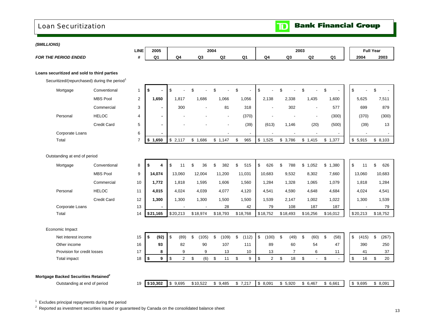### <span id="page-15-0"></span>Loan Securitization

 $\mathbf{D}$ 

| (\$MILLIONS)                |                                                  |                                                          |                |                        |                                 |                               |                                    |                |                |                |                          |                                   |                    |          |                  |
|-----------------------------|--------------------------------------------------|----------------------------------------------------------|----------------|------------------------|---------------------------------|-------------------------------|------------------------------------|----------------|----------------|----------------|--------------------------|-----------------------------------|--------------------|----------|------------------|
|                             |                                                  |                                                          | <b>LINE</b>    | 2005                   |                                 |                               | 2004                               |                |                |                | 2003                     |                                   |                    |          | <b>Full Year</b> |
| <b>FOR THE PERIOD ENDED</b> |                                                  |                                                          | #              | Q1                     | Q <sub>4</sub>                  | Q <sub>3</sub>                | Q2                                 | Q <sub>1</sub> | Q <sub>4</sub> | Q3             | Q2                       | Q <sub>1</sub>                    |                    | 2004     | 2003             |
|                             | Loans securitized and sold to third parties      |                                                          |                |                        |                                 |                               |                                    |                |                |                |                          |                                   |                    |          |                  |
|                             |                                                  | Securitized/(repurchased) during the period <sup>1</sup> |                |                        |                                 |                               |                                    |                |                |                |                          |                                   |                    |          |                  |
|                             | Mortgage                                         | Conventional                                             | $\overline{1}$ | \$                     | \$                              | \$                            | \$                                 | \$             | \$             | \$             | \$                       | \$                                | \$                 |          | \$               |
|                             |                                                  | <b>MBS Pool</b>                                          | 2              | 1,650                  | 1,817                           | 1,686                         | 1,066                              | 1,056          | 2,138          | 2,338          | 1,435                    | 1,600                             |                    | 5,625    | 7,511            |
|                             |                                                  | Commercial                                               | 3              | $\blacksquare$         | 300                             |                               | 81                                 | 318            |                | 302            |                          | 577                               |                    | 699      | 879              |
|                             | Personal                                         | <b>HELOC</b>                                             | $\overline{4}$ | $\blacksquare$         |                                 |                               | $\overline{\phantom{a}}$           | (370)          |                |                | $\overline{\phantom{a}}$ | (300)                             |                    | (370)    | (300)            |
|                             |                                                  | <b>Credit Card</b>                                       | 5              | $\blacksquare$         |                                 |                               |                                    | (39)           | (613)          | 1,146          | (20)                     | (500)                             |                    | (39)     | 13               |
|                             | Corporate Loans                                  |                                                          | 6              |                        |                                 |                               |                                    |                |                |                |                          |                                   |                    |          |                  |
| Total                       |                                                  |                                                          | $\overline{7}$ | 1,650<br>\$            | \$2,117                         | \$1,686                       | \$1,147                            | \$<br>965      | \$1,525        | \$3,786        | \$1,415                  | \$1,377                           |                    | \$5,915  | \$8,103          |
|                             | Outstanding at end of period                     |                                                          |                |                        |                                 |                               |                                    |                |                |                |                          |                                   |                    |          |                  |
|                             | Mortgage                                         | Conventional                                             | 8              | \$<br>4                | $\mathfrak s$<br>11             | $\sqrt[6]{\frac{1}{2}}$<br>36 | \$<br>382                          | \$<br>515      | \$<br>626      | \$<br>788      | \$1,052                  | \$<br>1,380                       | $\mathfrak s$      | 11       | \$<br>626        |
|                             |                                                  | <b>MBS Pool</b>                                          | 9              | 14,074                 | 13,060                          | 12,004                        | 11,200                             | 11,031         | 10,683         | 9,532          | 8,302                    | 7,660                             |                    | 13,060   | 10,683           |
|                             |                                                  | Commercial                                               | 10             | 1,772                  | 1,818                           | 1,595                         | 1,606                              | 1,560          | 1,284          | 1,328          | 1,065                    | 1,079                             |                    | 1,818    | 1,284            |
|                             | Personal                                         | <b>HELOC</b>                                             | 11             | 4,015                  | 4,024                           | 4,039                         | 4,077                              | 4,120          | 4,541          | 4,590          | 4,648                    | 4,684                             |                    | 4,024    | 4,541            |
|                             |                                                  | <b>Credit Card</b>                                       | 12             | 1,300                  | 1,300                           | 1,300                         | 1,500                              | 1,500          | 1,539          | 2,147          | 1,002                    | 1,022                             |                    | 1,300    | 1,539            |
|                             | Corporate Loans                                  |                                                          | 13             | $\blacksquare$         |                                 |                               | 28                                 | 42             | 79             | 108            | 187                      | 187                               |                    |          | 79               |
| Total                       |                                                  |                                                          | 14             | \$21,165               | \$20,213                        | \$18,974                      | \$18,793                           | \$18,768       | \$18,752       | \$18,493       | \$16,256                 | \$16,012                          |                    | \$20,213 | \$18,752         |
| Economic Impact             |                                                  |                                                          |                |                        |                                 |                               |                                    |                |                |                |                          |                                   |                    |          |                  |
|                             | Net interest income                              |                                                          | 15             | \$<br>(92)             | $\mathfrak s$<br>(89)           | \$<br>(105)                   | $\boldsymbol{\mathsf{S}}$<br>(109) | \$<br>(112)    | \$<br>(100)    | \$<br>(49)     | \$<br>(60)               | $\boldsymbol{\mathsf{S}}$<br>(58) | \$                 | (415)    | \$<br>(267)      |
|                             | Other income                                     |                                                          | 16             | 93                     | 82                              | 90                            | 107                                | 111            | 89             | 60             | 54                       | 47                                |                    | 390      | 250              |
|                             | Provision for credit losses                      |                                                          | 17             | 8                      | 9                               | 9                             | 13                                 | 10             | 13             | $\overline{7}$ | 6                        | 11                                |                    | 41       | 37               |
|                             | Total impact                                     |                                                          | 18             | $\boldsymbol{9}$<br>\$ | $\overline{2}$<br>$\mathfrak s$ | (6)<br>\$                     | $\boldsymbol{\mathsf{S}}$<br>11    | \$<br>9        | \$<br>2        | \$<br>18       | \$                       | \$                                | $\pmb{\mathbb{S}}$ | 16       | \$<br>20         |
|                             |                                                  |                                                          |                |                        |                                 |                               |                                    |                |                |                |                          |                                   |                    |          |                  |
|                             | Mortgage Backed Securities Retained <sup>2</sup> |                                                          |                |                        |                                 |                               |                                    |                |                |                |                          |                                   |                    |          |                  |
|                             | Outstanding at end of period                     |                                                          | 19             | \$10,302               | \$9,695                         | \$10,522                      | \$9,485                            | \$7,217        | \$8,091        | \$5,920        | \$6,467                  | \$6,661                           |                    | \$9,695  | \$8,091          |

 $1$  Excludes principal repayments during the period

<sup>2</sup> Reported as investment securities issued or guaranteed by Canada on the consolidated balance sheet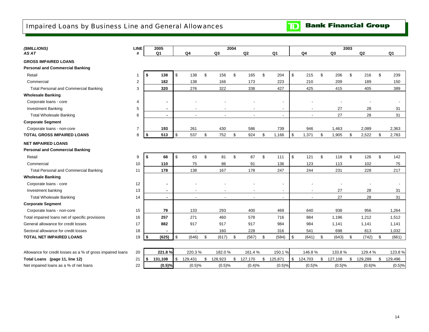## <span id="page-16-0"></span>Impaired Loans by Business Line and General Allowances

**TD** Bank Financial Group

| (\$MILLIONS)                                               | LINE           | 2005          |               |                          |                          | 2004 |                          |                          |                |               | 2003 |         |               |
|------------------------------------------------------------|----------------|---------------|---------------|--------------------------|--------------------------|------|--------------------------|--------------------------|----------------|---------------|------|---------|---------------|
| AS AT                                                      | #              | Q1            |               | Q <sub>4</sub>           | Q <sub>3</sub>           |      | Q2                       | Q1                       | Q <sub>4</sub> | Q3            |      | Q2      | Q1            |
| <b>GROSS IMPAIRED LOANS</b>                                |                |               |               |                          |                          |      |                          |                          |                |               |      |         |               |
| <b>Personal and Commercial Banking</b>                     |                |               |               |                          |                          |      |                          |                          |                |               |      |         |               |
| Retail                                                     | 1              | 138<br>-\$    | \$            | 138                      | \$<br>156                | \$   | 165                      | \$<br>204                | \$<br>215      | \$<br>206     | \$   | 216     | \$<br>239     |
| Commercial                                                 | $\overline{c}$ | 182           |               | 138                      | 166                      |      | 173                      | 223                      | 210            | 209           |      | 189     | 150           |
| <b>Total Personal and Commercial Banking</b>               | 3              | 320           |               | 276                      | 322                      |      | 338                      | 427                      | 425            | 415           |      | 405     | 389           |
| <b>Wholesale Banking</b>                                   |                |               |               |                          |                          |      |                          |                          |                |               |      |         |               |
| Corporate loans - core                                     | 4              | ۰             |               |                          |                          |      |                          |                          |                |               |      |         |               |
| <b>Investment Banking</b>                                  | 5              | ۰             |               |                          |                          |      |                          | $\blacksquare$           |                | 27            |      | 28      | 31            |
| <b>Total Wholesale Banking</b>                             | 6              | $\sim$        |               | $\overline{\phantom{a}}$ | $\overline{\phantom{a}}$ |      | $\overline{\phantom{a}}$ | $\overline{\phantom{a}}$ | $\blacksquare$ | 27            |      | 28      | 31            |
| <b>Corporate Segment</b>                                   |                |               |               |                          |                          |      |                          |                          |                |               |      |         |               |
| Corporate loans - non-core                                 | $\overline{7}$ | 193           |               | 261                      | 430                      |      | 586                      | 739                      | 946            | 1,463         |      | 2,089   | 2,363         |
| <b>TOTAL GROSS IMPAIRED LOANS</b>                          | 8              | 513<br>-\$    | $\mathfrak s$ | 537                      | \$<br>752                | \$   | 924                      | \$<br>1,166              | \$<br>1,371    | \$<br>1,905   | \$   | 2,522   | \$<br>2,783   |
| <b>NET IMPAIRED LOANS</b>                                  |                |               |               |                          |                          |      |                          |                          |                |               |      |         |               |
| <b>Personal and Commercial Banking</b>                     |                |               |               |                          |                          |      |                          |                          |                |               |      |         |               |
| Retail                                                     | 9              | 68<br>- \$    | \$            | 63                       | \$<br>81                 | \$   | 87                       | \$<br>111                | \$<br>121      | \$<br>118     | \$   | 126     | \$<br>142     |
| Commercial                                                 | 10             | 110           |               | 75                       | 86                       |      | 91                       | 136                      | 123            | 113           |      | 102     | 75            |
| <b>Total Personal and Commercial Banking</b>               | 11             | 178           |               | 138                      | 167                      |      | 178                      | 247                      | 244            | 231           |      | 228     | 217           |
| <b>Wholesale Banking</b>                                   |                |               |               |                          |                          |      |                          |                          |                |               |      |         |               |
| Corporate loans - core                                     | 12             | ۰             |               |                          |                          |      |                          |                          |                |               |      |         |               |
| Investment banking                                         | 13             | $\sim$        |               | $\overline{\phantom{a}}$ | $\overline{\phantom{a}}$ |      | $\overline{\phantom{a}}$ | $\sim$                   | $\blacksquare$ | 27            |      | 28      | 31            |
| <b>Total Wholesale Banking</b>                             | 14             | $\sim$        |               | $\overline{\phantom{a}}$ | $\overline{a}$           |      | $\overline{a}$           | $\overline{\phantom{a}}$ | $\blacksquare$ | 27            |      | 28      | 31            |
| <b>Corporate Segment</b>                                   |                |               |               |                          |                          |      |                          |                          |                |               |      |         |               |
| Corporate loans - non-core                                 | 15             | 79            |               | 133                      | 293                      |      | 400                      | 469                      | 640            | 938           |      | 956     | 1,264         |
| Total impaired loans net of specific provisions            | 16             | 257           |               | 271                      | 460                      |      | 578                      | 716                      | 884            | 1,196         |      | 1,212   | 1,512         |
| General allowance for credit losses                        | 17             | 882           |               | 917                      | 917                      |      | 917                      | 984                      | 984            | 1,141         |      | 1,141   | 1,141         |
| Sectoral allowance for credit losses                       | 18             |               |               | $\overline{\phantom{a}}$ | 160                      |      | 228                      | 316                      | 541            | 698           |      | 813     | 1,032         |
| <b>TOTAL NET IMPAIRED LOANS</b>                            | 19             | (625)<br>\$   | \$            | (646)                    | \$<br>(617)              | \$   | (567)                    | \$<br>(584)              | \$<br>(641)    | \$<br>(643)   | \$   | (742)   | \$<br>(661)   |
|                                                            |                |               |               |                          |                          |      |                          |                          |                |               |      |         |               |
| Allowance for credit losses as a % of gross impaired loans | 20             | 221.8%        |               | 220.3%                   | 182.0%                   |      | 161.4%                   | 150.1%                   | 146.8%         | 133.8%        |      | 129.4%  | 123.8%        |
| Total Loans (page 11, line 12)                             | 21             | \$<br>131,108 | \$            | 129,431                  | \$<br>128,923            | \$   | 127,170                  | \$<br>125,871            | \$<br>124,703  | \$<br>127,108 | \$   | 129,289 | \$<br>129,496 |
| Net impaired loans as a % of net loans                     | 22             | (0.5)%        |               | (0.5)%                   | (0.5)%                   |      | (0.4)%                   | (0.5)%                   | (0.5)%         | (0.5)%        |      | (0.6)%  | (0.5)%        |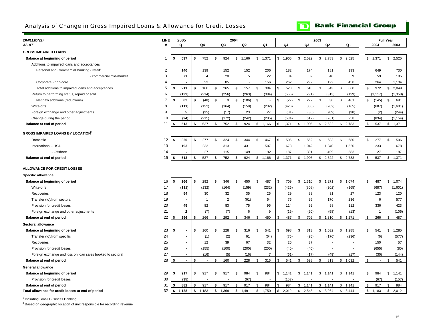<span id="page-17-0"></span>Analysis of Change in Gross Impaired Loans & Allowance for Credit Losses

## **TD** Bank Financial Group

| AS AT<br>#<br>Q1<br>Q3<br>Q <sub>2</sub><br>Q1<br>Q4<br>Q <sub>3</sub><br>Q <sub>2</sub><br>Q1<br>2004<br>Q4<br><b>GROSS IMPAIRED LOANS</b><br>537<br>752<br>\$<br>924<br>\$<br>\$<br>\$<br>\$1,371<br>\$<br>1,166<br>1,371<br>$\mathbb{S}$<br>1,905<br>2,522<br>\$<br>2,783<br>\$<br>2,525<br>Balance at beginning of period<br>\$<br>-1<br>Additions to impaired loans and acceptances<br>Personal and Commercial Banking - retail<br>$\overline{c}$<br>152<br>140<br>139<br>152<br>206<br>182<br>174<br>181<br>193<br>649<br>3<br>5<br>71<br>$\overline{4}$<br>28<br>22<br>84<br>52<br>40<br>9<br>59<br>- commercial mid-market<br>Corporate - non-core<br>$\overline{4}$<br>23<br>85<br>156<br>262<br>292<br>122<br>458<br>264<br>5<br>\$<br>211<br>\$<br>166<br>\$<br>265<br>\$<br>157<br>\$<br>384<br>528<br>\$<br>518<br>\$<br>343<br>\$<br>660<br>972<br>\$<br>Total additions to impaired loans and acceptances<br>Ŝ.<br>\$<br>6 |          |
|-------------------------------------------------------------------------------------------------------------------------------------------------------------------------------------------------------------------------------------------------------------------------------------------------------------------------------------------------------------------------------------------------------------------------------------------------------------------------------------------------------------------------------------------------------------------------------------------------------------------------------------------------------------------------------------------------------------------------------------------------------------------------------------------------------------------------------------------------------------------------------------------------------------------------------------------|----------|
|                                                                                                                                                                                                                                                                                                                                                                                                                                                                                                                                                                                                                                                                                                                                                                                                                                                                                                                                           | 2003     |
|                                                                                                                                                                                                                                                                                                                                                                                                                                                                                                                                                                                                                                                                                                                                                                                                                                                                                                                                           |          |
|                                                                                                                                                                                                                                                                                                                                                                                                                                                                                                                                                                                                                                                                                                                                                                                                                                                                                                                                           | 2,525    |
|                                                                                                                                                                                                                                                                                                                                                                                                                                                                                                                                                                                                                                                                                                                                                                                                                                                                                                                                           |          |
|                                                                                                                                                                                                                                                                                                                                                                                                                                                                                                                                                                                                                                                                                                                                                                                                                                                                                                                                           | 730      |
|                                                                                                                                                                                                                                                                                                                                                                                                                                                                                                                                                                                                                                                                                                                                                                                                                                                                                                                                           | 185      |
|                                                                                                                                                                                                                                                                                                                                                                                                                                                                                                                                                                                                                                                                                                                                                                                                                                                                                                                                           | 1,134    |
|                                                                                                                                                                                                                                                                                                                                                                                                                                                                                                                                                                                                                                                                                                                                                                                                                                                                                                                                           | 2,049    |
| Return to performing status, repaid or sold<br>(129)<br>(214)<br>(256)<br>(263)<br>(384)<br>(555)<br>(291)<br>(313)<br>(199)<br>(1, 117)                                                                                                                                                                                                                                                                                                                                                                                                                                                                                                                                                                                                                                                                                                                                                                                                  | (1, 358) |
| $\overline{7}$<br>\$<br>$9$<br>\$<br>\$<br>\$<br>\$<br>227<br>\$<br>30<br>\$<br>\$<br>\$<br>Net new additions (reductions)<br>S.<br>82<br>(48)<br>(106)<br>(27)<br>461<br>\$<br>(145)<br>$\sim$                                                                                                                                                                                                                                                                                                                                                                                                                                                                                                                                                                                                                                                                                                                                           | 691      |
| 8<br>(132)<br>(232)<br>(202)<br>Write-offs<br>(111)<br>(164)<br>(159)<br>(426)<br>(808)<br>(165)<br>(687)                                                                                                                                                                                                                                                                                                                                                                                                                                                                                                                                                                                                                                                                                                                                                                                                                                 | (1,601)  |
| 9<br>27<br>Foreign exchange and other adjustments<br>5<br>(35)<br>(17)<br>23<br>(36)<br>(89)<br>(38)<br>(2)<br>(81)                                                                                                                                                                                                                                                                                                                                                                                                                                                                                                                                                                                                                                                                                                                                                                                                                       | (244)    |
| 10<br>(24)<br>(215)<br>(172)<br>(242)<br>(834)<br>Change during the period<br>(205)<br>(534)<br>(617)<br>(261)<br>258                                                                                                                                                                                                                                                                                                                                                                                                                                                                                                                                                                                                                                                                                                                                                                                                                     | (1, 154) |
| 11<br>\$<br>513<br>537<br>752<br>\$<br>\$<br>\$<br>924<br>\$1,166<br>1,371<br>\$1,905<br>$\mathbb{S}$<br>2,522<br>\$2,783<br>537<br>Balance at end of period<br>\$<br>\$                                                                                                                                                                                                                                                                                                                                                                                                                                                                                                                                                                                                                                                                                                                                                                  | \$1,371  |
| <b>GROSS IMPAIRED LOANS BY LOCATION</b>                                                                                                                                                                                                                                                                                                                                                                                                                                                                                                                                                                                                                                                                                                                                                                                                                                                                                                   |          |
| 12<br>320<br>277<br>\$<br>324<br>\$<br>344<br>\$<br>467<br>\$<br>506<br>\$<br>562<br>\$<br>683<br>\$<br>680<br>\$<br>277<br>\$<br>S.<br>Domestic<br>\$                                                                                                                                                                                                                                                                                                                                                                                                                                                                                                                                                                                                                                                                                                                                                                                    | 506      |
| 13<br>193<br>233<br>313<br>431<br>507<br>International - USA<br>678<br>1,042<br>1,340<br>1,520<br>233                                                                                                                                                                                                                                                                                                                                                                                                                                                                                                                                                                                                                                                                                                                                                                                                                                     | 678      |
| - Offshore<br>14<br>27<br>115<br>149<br>192<br>187<br>301<br>499<br>583<br>27                                                                                                                                                                                                                                                                                                                                                                                                                                                                                                                                                                                                                                                                                                                                                                                                                                                             | 187      |
| 15<br>537<br>752<br>\$<br>924<br>\$<br>513<br>\$<br>\$1,166<br>\$1,371<br>\$1,905<br>\$2,522<br>\$2,783<br>537<br>\$<br>Balance at end of period<br>\$<br>\$                                                                                                                                                                                                                                                                                                                                                                                                                                                                                                                                                                                                                                                                                                                                                                              | 1,371    |
| ALLOWANCE FOR CREDIT LOSSES                                                                                                                                                                                                                                                                                                                                                                                                                                                                                                                                                                                                                                                                                                                                                                                                                                                                                                               |          |
| <b>Specific allowance</b>                                                                                                                                                                                                                                                                                                                                                                                                                                                                                                                                                                                                                                                                                                                                                                                                                                                                                                                 |          |
| \$<br>450<br>\$<br>16<br>\$<br>266<br>292<br>346<br>\$<br>\$<br>487<br>\$<br>709<br>\$<br>1,310<br>\$<br>1,271<br>\$1,074<br>\$<br>487<br>Balance at beginning of period<br>\$                                                                                                                                                                                                                                                                                                                                                                                                                                                                                                                                                                                                                                                                                                                                                            | 1,074    |
| 17<br>(111)<br>(132)<br>(232)<br>(426)<br>(808)<br>(687)<br>Write-offs<br>(164)<br>(159)<br>(202)<br>(165)                                                                                                                                                                                                                                                                                                                                                                                                                                                                                                                                                                                                                                                                                                                                                                                                                                | (1,601)  |
| Recoveries<br>18<br>54<br>30<br>32<br>35<br>26<br>29<br>33<br>31<br>27<br>123                                                                                                                                                                                                                                                                                                                                                                                                                                                                                                                                                                                                                                                                                                                                                                                                                                                             | 120      |
| 19<br>$\overline{2}$<br>Transfer (to)/from sectoral<br>(61)<br>64<br>76<br>95<br>170<br>236<br>6<br>$\overline{1}$                                                                                                                                                                                                                                                                                                                                                                                                                                                                                                                                                                                                                                                                                                                                                                                                                        | 577      |
| 20<br>99<br>98<br>Provision for credit losses<br>45<br>82<br>83<br>75<br>96<br>336<br>114<br>112                                                                                                                                                                                                                                                                                                                                                                                                                                                                                                                                                                                                                                                                                                                                                                                                                                          | 423      |
| 21<br>$\overline{2}$<br>(7)<br>(7)<br>6<br>9<br>(20)<br>(58)<br>Foreign exchange and other adjustments<br>(15)<br>(13)<br>$\overline{1}$                                                                                                                                                                                                                                                                                                                                                                                                                                                                                                                                                                                                                                                                                                                                                                                                  | (106)    |
| 22<br>256<br>266<br>\$<br>292<br>\$<br>346<br>450<br>487<br>709<br>\$1,310<br>\$1,271<br>\$<br>266<br>Balance at end of period<br>\$<br>\$<br>\$<br>S                                                                                                                                                                                                                                                                                                                                                                                                                                                                                                                                                                                                                                                                                                                                                                                     | 487      |
| Sectoral allowance                                                                                                                                                                                                                                                                                                                                                                                                                                                                                                                                                                                                                                                                                                                                                                                                                                                                                                                        |          |
| \$<br>23<br>\$<br>160<br>\$<br>228<br>698<br>\$<br>1,032<br>1,285<br>541<br>\$<br>Balance at beginning of period<br>\$<br>316<br>\$<br>541<br>\$<br>813<br>\$<br>\$<br>\$                                                                                                                                                                                                                                                                                                                                                                                                                                                                                                                                                                                                                                                                                                                                                                 | 1,285    |
| 24<br>(95)<br>(236)<br>Transfer (to)/from specific<br>(1)<br>(2)<br>61<br>(64)<br>(76)<br>(170)<br>(6)                                                                                                                                                                                                                                                                                                                                                                                                                                                                                                                                                                                                                                                                                                                                                                                                                                    | (577)    |
| 25<br>37<br>Recoveries<br>12<br>39<br>67<br>32<br>20<br>150<br>$\overline{\phantom{a}}$<br>$\blacksquare$                                                                                                                                                                                                                                                                                                                                                                                                                                                                                                                                                                                                                                                                                                                                                                                                                                 | 57       |
| 26<br>Provision for credit losses<br>(155)<br>(100)<br>(200)<br>(200)<br>(40)<br>(40)<br>(655)<br>$\sim$<br>$\overline{\phantom{a}}$                                                                                                                                                                                                                                                                                                                                                                                                                                                                                                                                                                                                                                                                                                                                                                                                      | (80)     |
| 27<br>(5)<br>$\overline{7}$<br>Foreign exchange and loss on loan sales booked to sectoral<br>(16)<br>(16)<br>(61)<br>(17)<br>(49)<br>(17)<br>(30)                                                                                                                                                                                                                                                                                                                                                                                                                                                                                                                                                                                                                                                                                                                                                                                         | (144)    |
| 28<br>$\mathbb{S}$<br>\$<br>\$<br>228<br>698<br>\$<br>Balance at end of period<br>\$.<br>160<br>\$<br>316<br>541<br>S.<br>\$<br>813<br>\$1,032<br>\$<br>\$<br>$\sim$<br>$\blacksquare$<br>$\overline{\phantom{a}}$                                                                                                                                                                                                                                                                                                                                                                                                                                                                                                                                                                                                                                                                                                                        | 541      |
| <b>General allowance</b>                                                                                                                                                                                                                                                                                                                                                                                                                                                                                                                                                                                                                                                                                                                                                                                                                                                                                                                  |          |
| 29<br>\$<br>Balance at beginning of period<br>917<br>917<br>\$<br>917<br>\$<br>984<br>\$<br>984<br>\$1,141<br>\$<br>\$<br>984<br>\$<br>\$.<br>\$<br>\$<br>1,141<br>1,141<br>1,141                                                                                                                                                                                                                                                                                                                                                                                                                                                                                                                                                                                                                                                                                                                                                         | 1,141    |
| 30<br>(35)<br>Provision for credit losses<br>(67)<br>(157)<br>(67)                                                                                                                                                                                                                                                                                                                                                                                                                                                                                                                                                                                                                                                                                                                                                                                                                                                                        | (157)    |
| 31<br>882<br>917<br>\$<br>917<br>\$<br>917<br>\$<br>984<br>984<br>\$<br>1,141<br>\$<br>1,141<br>\$<br>\$<br>917<br>\$<br>Balance at end of period<br>\$<br>\$.<br>1,141                                                                                                                                                                                                                                                                                                                                                                                                                                                                                                                                                                                                                                                                                                                                                                   | 984      |
| 32<br>\$1,138<br>\$1,369<br>\$<br>\$1,750<br>\$<br>\$2,548<br>\$<br>\$3,444<br>\$1,183<br>Total allowance for credit losses at end of period<br>1,183<br>1,491<br>2,012<br>3,264<br>\$                                                                                                                                                                                                                                                                                                                                                                                                                                                                                                                                                                                                                                                                                                                                                    | \$2,012  |

<sup>1</sup> Including Small Business Banking

<sup>2</sup> Based on geographic location of unit responsible for recording revenue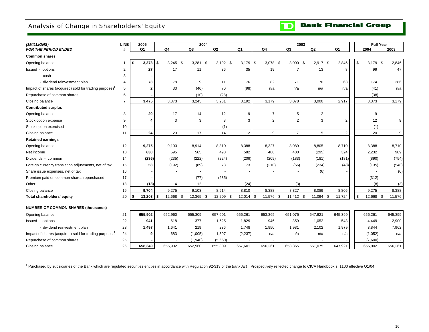### <span id="page-18-0"></span>Analysis of Change in Shareholders' Equity



| (\$MILLIONS)                                                       | LINE           | 2005         |            |                | 2004       |            |                |                  | 2003           |                |                | <b>Full Year</b> |         |
|--------------------------------------------------------------------|----------------|--------------|------------|----------------|------------|------------|----------------|------------------|----------------|----------------|----------------|------------------|---------|
| <b>FOR THE PERIOD ENDED</b>                                        | #              | Q1           |            | Q <sub>4</sub> | Q3         | Q2         | Q <sub>1</sub> | Q <sub>4</sub>   | Q3             | Q <sub>2</sub> | Q <sub>1</sub> | 2004             | 2003    |
| <b>Common shares</b>                                               |                |              |            |                |            |            |                |                  |                |                |                |                  |         |
| Opening balance                                                    | $\mathbf 1$    | 3,373<br>\$  | $\sqrt{3}$ | $3,245$ \$     | $3,281$ \$ | $3,192$ \$ | 3,179          | \$<br>$3,078$ \$ | $3,000$ \$     | 2,917 \$       | 2,846          | \$<br>$3,179$ \$ | 2,846   |
| Issued - options                                                   | 2              | 27           |            | 17             | 11         | 36         | 35             | 19               | $\overline{7}$ | 13             | 8              | 99               | 47      |
| - cash                                                             | 3              |              |            |                |            |            |                |                  |                |                |                |                  |         |
| - dividend reinvestment plan                                       | 4              | 73           |            | 78             | 9          | 11         | 76             | 82               | 71             | 70             | 63             | 174              | 286     |
| Impact of shares (acquired) sold for trading purposes              | 5              | 2            |            | 33             | (46)       | 70         | (98)           | n/a              | n/a            | n/a            | n/a            | (41)             | n/a     |
| Repurchase of common shares                                        | 6              |              |            |                | (10)       | (28)       |                |                  |                |                |                | (38)             |         |
| Closing balance                                                    | $\overline{7}$ | 3,475        |            | 3,373          | 3,245      | 3,281      | 3,192          | 3,179            | 3,078          | 3,000          | 2,917          | 3,373            | 3,179   |
| <b>Contributed surplus</b>                                         |                |              |            |                |            |            |                |                  |                |                |                |                  |         |
| Opening balance                                                    | 8              | 20           |            | 17             | 14         | 12         | 9              | $\overline{7}$   | 5              | 2              |                | 9                |         |
| Stock option expense                                               | 9              | 4            |            | 3              | 3          | 3          | 3              | $\overline{2}$   | $\overline{2}$ | 3              | 2              | 12               | 9       |
| Stock option exercised                                             | 10             |              |            |                |            | (1)        |                |                  |                |                |                | (1)              |         |
| Closing balance                                                    | 11             | 24           |            | 20             | 17         | 14         | 12             | 9                | $\overline{7}$ | 5              | $\overline{2}$ | 20               | 9       |
| <b>Retained earnings</b>                                           |                |              |            |                |            |            |                |                  |                |                |                |                  |         |
| Opening balance                                                    | 12             | 9,275        |            | 9,103          | 8,914      | 8,810      | 8,388          | 8,327            | 8,089          | 8,805          | 8,710          | 8,388            | 8,710   |
| Net income                                                         | 13             | 630          |            | 595            | 565        | 490        | 582            | 480              | 480            | (295)          | 324            | 2,232            | 989     |
| Dividends - common                                                 | 14             | (236)        |            | (235)          | (222)      | (224)      | (209)          | (209)            | (183)          | (181)          | (181)          | (890)            | (754)   |
| Foreign currency translation adjustments, net of tax               | 15             | 53           |            | (192)          | (89)       | 73         | 73             | (210)            | (56)           | (234)          | (48)           | (135)            | (548)   |
| Share issue expenses, net of tax                                   | 16             |              |            |                |            |            |                |                  |                | (6)            |                |                  | (6)     |
| Premium paid on common shares repurchased                          | 17             |              |            |                | (77)       | (235)      |                |                  |                |                |                | (312)            |         |
| Other                                                              | 18             | (18)         |            | 4              | 12         |            | (24)           |                  | (3)            |                |                | (8)              | (3)     |
| Closing balance                                                    | 19             | 9,704        |            | 9,275          | 9,103      | 8,914      | 8,810          | 8,388            | 8,327          | 8,089          | 8,805          | 9,275            | 8,388   |
| <b>Total shareholders' equity</b>                                  | 20             | 13,203<br>\$ | \$         | 12,668 \$      | 12,365 \$  | 12,209 \$  | 12,014         | \$<br>11,576 \$  | $11,412$ \$    | 11,094 \$      | 11,724         | \$<br>12,668 \$  | 11,576  |
| <b>NUMBER OF COMMON SHARES (thousands)</b>                         |                |              |            |                |            |            |                |                  |                |                |                |                  |         |
| Opening balance                                                    | 21             | 655,902      |            | 652,960        | 655,309    | 657,601    | 656,261        | 653,365          | 651,075        | 647,921        | 645,399        | 656,261          | 645,399 |
| Issued - options                                                   | 22             | 941          |            | 618            | 377        | 1,625      | 1,829          | 946              | 359            | 1,052          | 543            | 4,449            | 2,900   |
| - dividend reinvestment plan                                       | 23             | 1,497        |            | 1,641          | 219        | 236        | 1,748          | 1,950            | 1,931          | 2,102          | 1,979          | 3,844            | 7,962   |
| Impact of shares (acquired) sold for trading purposes <sup>1</sup> | 24             | 9            |            | 683            | (1,005)    | 1,507      | (2, 237)       | n/a              | n/a            | n/a            | n/a            | (1,052)          | n/a     |
| Repurchase of common shares                                        | 25             |              |            |                | (1,940)    | (5,660)    |                |                  |                |                |                | (7,600)          |         |
| Closing balance                                                    | 26             | 658,349      |            | 655,902        | 652,960    | 655,309    | 657,601        | 656,261          | 653,365        | 651,075        | 647,921        | 655,902          | 656,261 |

1 Purchased by subsidiaries of the Bank which are regulated securities entities in accordance with Regulation 92-313 of the *Bank Act* . Prospectively reflected change to CICA Handbook s. 1100 effective Q1/04